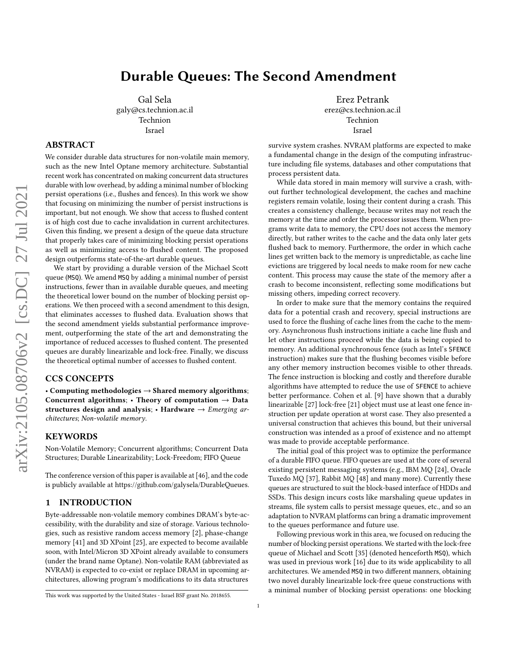# Durable Queues: The Second Amendment

Gal Sela galy@cs.technion.ac.il Technion Israel

# ABSTRACT

We consider durable data structures for non-volatile main memory, such as the new Intel Optane memory architecture. Substantial recent work has concentrated on making concurrent data structures durable with low overhead, by adding a minimal number of blocking persist operations (i.e., flushes and fences). In this work we show that focusing on minimizing the number of persist instructions is important, but not enough. We show that access to flushed content is of high cost due to cache invalidation in current architectures. Given this finding, we present a design of the queue data structure that properly takes care of minimizing blocking persist operations as well as minimizing access to flushed content. The proposed design outperforms state-of-the-art durable queues.

We start by providing a durable version of the Michael Scott queue (MSQ). We amend MSQ by adding a minimal number of persist instructions, fewer than in available durable queues, and meeting the theoretical lower bound on the number of blocking persist operations. We then proceed with a second amendment to this design, that eliminates accesses to flushed data. Evaluation shows that the second amendment yields substantial performance improvement, outperforming the state of the art and demonstrating the importance of reduced accesses to flushed content. The presented queues are durably linearizable and lock-free. Finally, we discuss the theoretical optimal number of accesses to flushed content.

# CCS CONCEPTS

• Computing methodologies → Shared memory algorithms; Concurrent algorithms;  $\cdot$  Theory of computation  $\rightarrow$  Data structures design and analysis;  $\cdot$  Hardware  $\rightarrow$  Emerging architectures; Non-volatile memory.

# **KEYWORDS**

Non-Volatile Memory; Concurrent algorithms; Concurrent Data Structures; Durable Linearizability; Lock-Freedom; FIFO Queue

The conference version of this paper is available at [\[46\]](#page-12-0), and the code is publicly available at [https://github.com/galysela/DurableQueues.](https://github.com/galysela/DurableQueues)

# 1 INTRODUCTION

Byte-addressable non-volatile memory combines DRAM's byte-accessibility, with the durability and size of storage. Various technologies, such as resistive random access memory [\[2\]](#page-11-0), phase-change memory [\[41\]](#page-12-1) and 3D XPoint [\[25\]](#page-12-2), are expected to become available soon, with Intel/Micron 3D XPoint already available to consumers (under the brand name Optane). Non-volatile RAM (abbreviated as NVRAM) is expected to co-exist or replace DRAM in upcoming architectures, allowing program's modifications to its data structures

Erez Petrank erez@cs.technion.ac.il Technion Israel

survive system crashes. NVRAM platforms are expected to make a fundamental change in the design of the computing infrastructure including file systems, databases and other computations that process persistent data.

While data stored in main memory will survive a crash, without further technological development, the caches and machine registers remain volatile, losing their content during a crash. This creates a consistency challenge, because writes may not reach the memory at the time and order the processor issues them. When programs write data to memory, the CPU does not access the memory directly, but rather writes to the cache and the data only later gets flushed back to memory. Furthermore, the order in which cache lines get written back to the memory is unpredictable, as cache line evictions are triggered by local needs to make room for new cache content. This process may cause the state of the memory after a crash to become inconsistent, reflecting some modifications but missing others, impeding correct recovery.

In order to make sure that the memory contains the required data for a potential crash and recovery, special instructions are used to force the flushing of cache lines from the cache to the memory. Asynchronous flush instructions initiate a cache line flush and let other instructions proceed while the data is being copied to memory. An additional synchronous fence (such as Intel's SFENCE instruction) makes sure that the flushing becomes visible before any other memory instruction becomes visible to other threads. The fence instruction is blocking and costly and therefore durable algorithms have attempted to reduce the use of SFENCE to achieve better performance. Cohen et al. [\[9\]](#page-12-3) have shown that a durably linearizable [\[27\]](#page-12-4) lock-free [\[21\]](#page-12-5) object must use at least one fence instruction per update operation at worst case. They also presented a universal construction that achieves this bound, but their universal construction was intended as a proof of existence and no attempt was made to provide acceptable performance.

The initial goal of this project was to optimize the performance of a durable FIFO queue. FIFO queues are used at the core of several existing persistent messaging systems (e.g., IBM MQ [\[24\]](#page-12-6), Oracle Tuxedo MQ [\[37\]](#page-12-7), Rabbit MQ [\[48\]](#page-12-8) and many more). Currently these queues are structured to suit the block-based interface of HDDs and SSDs. This design incurs costs like marshaling queue updates in streams, file system calls to persist message queues, etc., and so an adaptation to NVRAM platforms can bring a dramatic improvement to the queues performance and future use.

Following previous work in this area, we focused on reducing the number of blocking persist operations. We started with the lock-free queue of Michael and Scott [\[35\]](#page-12-9) (denoted henceforth MSQ), which was used in previous work [\[16\]](#page-12-10) due to its wide applicability to all architectures. We amended MSQ in two different manners, obtaining two novel durably linearizable lock-free queue constructions with a minimal number of blocking persist operations: one blocking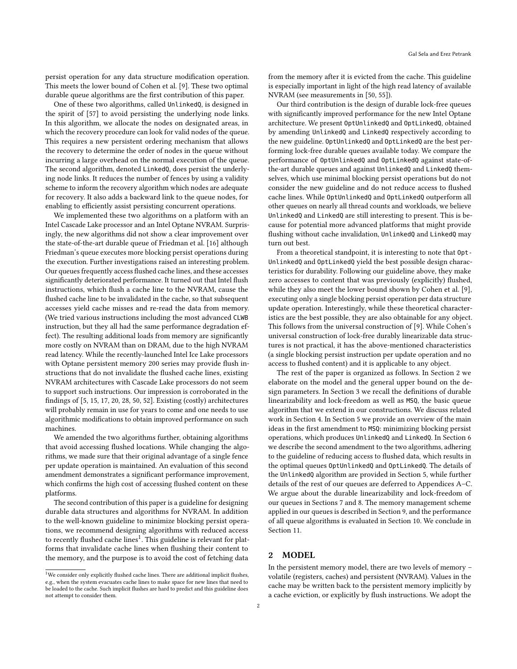persist operation for any data structure modification operation. This meets the lower bound of Cohen et al. [\[9\]](#page-12-3). These two optimal durable queue algorithms are the first contribution of this paper.

One of these two algorithms, called UnlinkedQ, is designed in the spirit of [\[57\]](#page-12-11) to avoid persisting the underlying node links. In this algorithm, we allocate the nodes on designated areas, in which the recovery procedure can look for valid nodes of the queue. This requires a new persistent ordering mechanism that allows the recovery to determine the order of nodes in the queue without incurring a large overhead on the normal execution of the queue. The second algorithm, denoted LinkedQ, does persist the underlying node links. It reduces the number of fences by using a validity scheme to inform the recovery algorithm which nodes are adequate for recovery. It also adds a backward link to the queue nodes, for enabling to efficiently assist persisting concurrent operations.

We implemented these two algorithms on a platform with an Intel Cascade Lake processor and an Intel Optane NVRAM. Surprisingly, the new algorithms did not show a clear improvement over the state-of-the-art durable queue of Friedman et al. [\[16\]](#page-12-10) although Friedman's queue executes more blocking persist operations during the execution. Further investigations raised an interesting problem. Our queues frequently access flushed cache lines, and these accesses significantly deteriorated performance. It turned out that Intel flush instructions, which flush a cache line to the NVRAM, cause the flushed cache line to be invalidated in the cache, so that subsequent accesses yield cache misses and re-read the data from memory. (We tried various instructions including the most advanced CLWB instruction, but they all had the same performance degradation effect). The resulting additional loads from memory are significantly more costly on NVRAM than on DRAM, due to the high NVRAM read latency. While the recently-launched Intel Ice Lake processors with Optane persistent memory 200 series may provide flush instructions that do not invalidate the flushed cache lines, existing NVRAM architectures with Cascade Lake processors do not seem to support such instructions. Our impression is corroborated in the findings of [\[5,](#page-12-12) [15,](#page-12-13) [17,](#page-12-14) [20,](#page-12-15) [28,](#page-12-16) [50,](#page-12-17) [52\]](#page-12-18). Existing (costly) architectures will probably remain in use for years to come and one needs to use algorithmic modifications to obtain improved performance on such machines.

We amended the two algorithms further, obtaining algorithms that avoid accessing flushed locations. While changing the algorithms, we made sure that their original advantage of a single fence per update operation is maintained. An evaluation of this second amendment demonstrates a significant performance improvement, which confirms the high cost of accessing flushed content on these platforms.

The second contribution of this paper is a guideline for designing durable data structures and algorithms for NVRAM. In addition to the well-known guideline to minimize blocking persist operations, we recommend designing algorithms with reduced access to recently flushed cache lines<sup>[1](#page-1-0)</sup>. This guideline is relevant for platforms that invalidate cache lines when flushing their content to the memory, and the purpose is to avoid the cost of fetching data

from the memory after it is evicted from the cache. This guideline is especially important in light of the high read latency of available NVRAM (see measurements in [\[50,](#page-12-17) [55\]](#page-12-19)).

Our third contribution is the design of durable lock-free queues with significantly improved performance for the new Intel Optane architecture. We present OptUnlinkedQ and OptLinkedQ, obtained by amending UnlinkedQ and LinkedQ respectively according to the new guideline. OptUnlinkedQ and OptLinkedQ are the best performing lock-free durable queues available today. We compare the performance of OptUnlinkedQ and OptLinkedQ against state-ofthe-art durable queues and against UnlinkedQ and LinkedQ themselves, which use minimal blocking persist operations but do not consider the new guideline and do not reduce access to flushed cache lines. While OptUnlinkedQ and OptLinkedQ outperform all other queues on nearly all thread counts and workloads, we believe UnlinkedQ and LinkedQ are still interesting to present. This is because for potential more advanced platforms that might provide flushing without cache invalidation, UnlinkedQ and LinkedQ may turn out best.

From a theoretical standpoint, it is interesting to note that Opt-UnlinkedQ and OptLinkedQ yield the best possible design characteristics for durability. Following our guideline above, they make zero accesses to content that was previously (explicitly) flushed, while they also meet the lower bound shown by Cohen et al. [\[9\]](#page-12-3), executing only a single blocking persist operation per data structure update operation. Interestingly, while these theoretical characteristics are the best possible, they are also obtainable for any object. This follows from the universal construction of [\[9\]](#page-12-3). While Cohen's universal construction of lock-free durably linearizable data structures is not practical, it has the above-mentioned characteristics (a single blocking persist instruction per update operation and no access to flushed content) and it is applicable to any object.

The rest of the paper is organized as follows. In Section [2](#page-1-1) we elaborate on the model and the general upper bound on the design parameters. In Section [3](#page-3-0) we recall the definitions of durable linearizability and lock-freedom as well as MSQ, the basic queue algorithm that we extend in our constructions. We discuss related work in Section [4.](#page-3-1) In Section [5](#page-3-2) we provide an overview of the main ideas in the first amendment to MSQ: minimizing blocking persist operations, which produces UnlinkedQ and LinkedQ. In Section [6](#page-6-0) we describe the second amendment to the two algorithms, adhering to the guideline of reducing access to flushed data, which results in the optimal queues OptUnlinkedQ and OptLinkedQ. The details of the UnlinkedQ algorithm are provided in Section [5,](#page-3-2) while further details of the rest of our queues are deferred to Appendices [A–](#page-13-0)[C.](#page-15-0) We argue about the durable linearizability and lock-freedom of our queues in Sections [7](#page-8-0) and [8.](#page-10-0) The memory management scheme applied in our queues is described in Section [9,](#page-10-1) and the performance of all queue algorithms is evaluated in Section [10.](#page-10-2) We conclude in Section [11.](#page-11-1)

# <span id="page-1-1"></span>**MODEL**

In the persistent memory model, there are two levels of memory – volatile (registers, caches) and persistent (NVRAM). Values in the cache may be written back to the persistent memory implicitly by a cache eviction, or explicitly by flush instructions. We adopt the

<span id="page-1-0"></span> $^{\rm 1}$  We consider only explicitly flushed cache lines. There are additional implicit flushes, e.g., when the system evacuates cache lines to make space for new lines that need to be loaded to the cache. Such implicit flushes are hard to predict and this guideline does not attempt to consider them.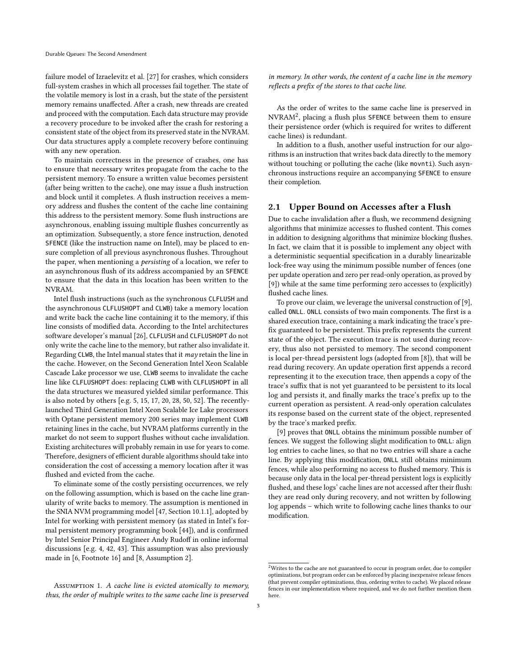failure model of Izraelevitz et al. [\[27\]](#page-12-4) for crashes, which considers full-system crashes in which all processes fail together. The state of the volatile memory is lost in a crash, but the state of the persistent memory remains unaffected. After a crash, new threads are created and proceed with the computation. Each data structure may provide a recovery procedure to be invoked after the crash for restoring a consistent state of the object from its preserved state in the NVRAM. Our data structures apply a complete recovery before continuing with any new operation.

To maintain correctness in the presence of crashes, one has to ensure that necessary writes propagate from the cache to the persistent memory. To ensure a written value becomes persistent (after being written to the cache), one may issue a flush instruction and block until it completes. A flush instruction receives a memory address and flushes the content of the cache line containing this address to the persistent memory. Some flush instructions are asynchronous, enabling issuing multiple flushes concurrently as an optimization. Subsequently, a store fence instruction, denoted SFENCE (like the instruction name on Intel), may be placed to ensure completion of all previous asynchronous flushes. Throughout the paper, when mentioning a persisting of a location, we refer to an asynchronous flush of its address accompanied by an SFENCE to ensure that the data in this location has been written to the NVRAM.

Intel flush instructions (such as the synchronous CLFLUSH and the asynchronous CLFLUSHOPT and CLWB) take a memory location and write back the cache line containing it to the memory, if this line consists of modified data. According to the Intel architectures software developer's manual [\[26\]](#page-12-20), CLFLUSH and CLFLUSHOPT do not only write the cache line to the memory, but rather also invalidate it. Regarding CLWB, the Intel manual states that it  $may$  retain the line in the cache. However, on the Second Generation Intel Xeon Scalable Cascade Lake processor we use, CLWB seems to invalidate the cache line like CLFLUSHOPT does: replacing CLWB with CLFLUSHOPT in all the data structures we measured yielded similar performance. This is also noted by others [e.g. [5,](#page-12-12) [15,](#page-12-13) [17,](#page-12-14) [20,](#page-12-15) [28,](#page-12-16) [50,](#page-12-17) [52\]](#page-12-18). The recentlylaunched Third Generation Intel Xeon Scalable Ice Lake processors with Optane persistent memory 200 series may implement CLWB retaining lines in the cache, but NVRAM platforms currently in the market do not seem to support flushes without cache invalidation. Existing architectures will probably remain in use for years to come. Therefore, designers of efficient durable algorithms should take into consideration the cost of accessing a memory location after it was flushed and evicted from the cache.

To eliminate some of the costly persisting occurrences, we rely on the following assumption, which is based on the cache line granularity of write backs to memory. The assumption is mentioned in the SNIA NVM programming model [\[47,](#page-12-21) Section 10.1.1], adopted by Intel for working with persistent memory (as stated in Intel's formal persistent memory programming book [\[44\]](#page-12-22)), and is confirmed by Intel Senior Principal Engineer Andy Rudoff in online informal discussions [e.g. [4,](#page-11-2) [42,](#page-12-23) [43\]](#page-12-24). This assumption was also previously made in [\[6,](#page-12-25) Footnote 16] and [\[8,](#page-12-26) Assumption 2].

<span id="page-2-1"></span>Assumption 1. A cache line is evicted atomically to memory, thus, the order of multiple writes to the same cache line is preserved in memory. In other words, the content of a cache line in the memory reflects a prefix of the stores to that cache line.

As the order of writes to the same cache line is preserved in NVRAM[2](#page-2-0) , placing a flush plus SFENCE between them to ensure their persistence order (which is required for writes to different cache lines) is redundant.

In addition to a flush, another useful instruction for our algorithms is an instruction that writes back data directly to the memory without touching or polluting the cache (like movnti). Such asynchronous instructions require an accompanying SFENCE to ensure their completion.

### 2.1 Upper Bound on Accesses after a Flush

Due to cache invalidation after a flush, we recommend designing algorithms that minimize accesses to flushed content. This comes in addition to designing algorithms that minimize blocking flushes. In fact, we claim that it is possible to implement any object with a deterministic sequential specification in a durably linearizable lock-free way using the minimum possible number of fences (one per update operation and zero per read-only operation, as proved by [\[9\]](#page-12-3)) while at the same time performing zero accesses to (explicitly) flushed cache lines.

To prove our claim, we leverage the universal construction of [\[9\]](#page-12-3), called ONLL. ONLL consists of two main components. The first is a shared execution trace, containing a mark indicating the trace's prefix guaranteed to be persistent. This prefix represents the current state of the object. The execution trace is not used during recovery, thus also not persisted to memory. The second component is local per-thread persistent logs (adopted from [\[8\]](#page-12-26)), that will be read during recovery. An update operation first appends a record representing it to the execution trace, then appends a copy of the trace's suffix that is not yet guaranteed to be persistent to its local log and persists it, and finally marks the trace's prefix up to the current operation as persistent. A read-only operation calculates its response based on the current state of the object, represented by the trace's marked prefix.

[\[9\]](#page-12-3) proves that ONLL obtains the minimum possible number of fences. We suggest the following slight modification to ONLL: align log entries to cache lines, so that no two entries will share a cache line. By applying this modification, ONLL still obtains minimum fences, while also performing no access to flushed memory. This is because only data in the local per-thread persistent logs is explicitly flushed, and these logs' cache lines are not accessed after their flush: they are read only during recovery, and not written by following log appends – which write to following cache lines thanks to our modification.

<span id="page-2-0"></span> $2$ Writes to the cache are not guaranteed to occur in program order, due to compiler optimizations, but program order can be enforced by placing inexpensive release fences (that prevent compiler optimizations, thus, ordering writes to cache). We placed release fences in our implementation where required, and we do not further mention them here.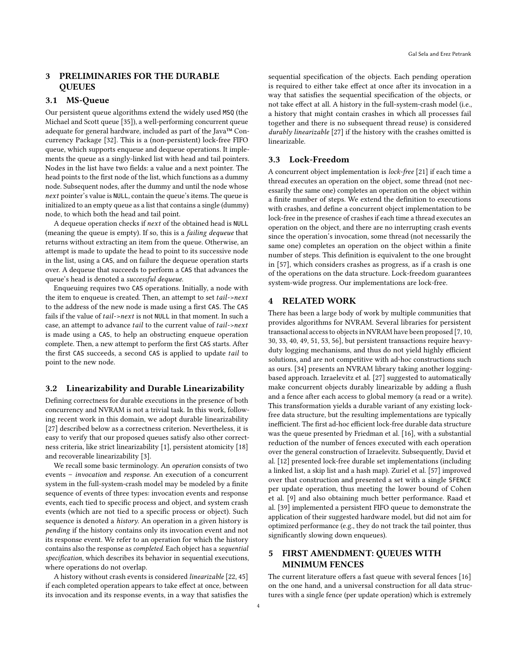# <span id="page-3-0"></span>3 PRELIMINARIES FOR THE DURABLE **QUEUES**

# 3.1 MS-Queue

Our persistent queue algorithms extend the widely used MSQ (the Michael and Scott queue [\[35\]](#page-12-9)), a well-performing concurrent queue adequate for general hardware, included as part of the Java™ Concurrency Package [\[32\]](#page-12-27). This is a (non-persistent) lock-free FIFO queue, which supports enqueue and dequeue operations. It implements the queue as a singly-linked list with head and tail pointers. Nodes in the list have two fields: a value and a next pointer. The head points to the first node of the list, which functions as a dummy node. Subsequent nodes, after the dummy and until the node whose next pointer's value is NULL, contain the queue's items. The queue is initialized to an empty queue as a list that contains a single (dummy) node, to which both the head and tail point.

A dequeue operation checks if next of the obtained head is NULL (meaning the queue is empty). If so, this is a failing dequeue that returns without extracting an item from the queue. Otherwise, an attempt is made to update the head to point to its successive node in the list, using a CAS, and on failure the dequeue operation starts over. A dequeue that succeeds to perform a CAS that advances the queue's head is denoted a successful dequeue.

Enqueuing requires two CAS operations. Initially, a node with the item to enqueue is created. Then, an attempt to set tail->next to the address of the new node is made using a first CAS. The CAS fails if the value of  $tail$ -next is not NULL in that moment. In such a case, an attempt to advance *tail* to the current value of *tail->next* is made using a CAS, to help an obstructing enqueue operation complete. Then, a new attempt to perform the first CAS starts. After the first CAS succeeds, a second CAS is applied to update tail to point to the new node.

### 3.2 Linearizability and Durable Linearizability

Defining correctness for durable executions in the presence of both concurrency and NVRAM is not a trivial task. In this work, following recent work in this domain, we adopt durable linearizability [\[27\]](#page-12-4) described below as a correctness criterion. Nevertheless, it is easy to verify that our proposed queues satisfy also other correctness criteria, like strict linearizability [\[1\]](#page-11-3), persistent atomicity [\[18\]](#page-12-28) and recoverable linearizability [\[3\]](#page-11-4).

We recall some basic terminology. An operation consists of two events – invocation and response. An execution of a concurrent system in the full-system-crash model may be modeled by a finite sequence of events of three types: invocation events and response events, each tied to specific process and object, and system crash events (which are not tied to a specific process or object). Such sequence is denoted a history. An operation in a given history is pending if the history contains only its invocation event and not its response event. We refer to an operation for which the history contains also the response as completed. Each object has a sequential specification, which describes its behavior in sequential executions, where operations do not overlap.

A history without crash events is considered linearizable [\[22,](#page-12-29) [45\]](#page-12-30) if each completed operation appears to take effect at once, between its invocation and its response events, in a way that satisfies the

sequential specification of the objects. Each pending operation is required to either take effect at once after its invocation in a way that satisfies the sequential specification of the objects, or not take effect at all. A history in the full-system-crash model (i.e., a history that might contain crashes in which all processes fail together and there is no subsequent thread reuse) is considered durably linearizable [\[27\]](#page-12-4) if the history with the crashes omitted is linearizable.

### 3.3 Lock-Freedom

A concurrent object implementation is lock-free [\[21\]](#page-12-5) if each time a thread executes an operation on the object, some thread (not necessarily the same one) completes an operation on the object within a finite number of steps. We extend the definition to executions with crashes, and define a concurrent object implementation to be lock-free in the presence of crashes if each time a thread executes an operation on the object, and there are no interrupting crash events since the operation's invocation, some thread (not necessarily the same one) completes an operation on the object within a finite number of steps. This definition is equivalent to the one brought in [\[57\]](#page-12-11), which considers crashes as progress, as if a crash is one of the operations on the data structure. Lock-freedom guarantees system-wide progress. Our implementations are lock-free.

# <span id="page-3-1"></span>4 RELATED WORK

There has been a large body of work by multiple communities that provides algorithms for NVRAM. Several libraries for persistent transactional access to objects in NVRAM have been proposed [\[7,](#page-12-31) [10,](#page-12-32) [30,](#page-12-33) [33,](#page-12-34) [40,](#page-12-35) [49,](#page-12-36) [51,](#page-12-37) [53,](#page-12-38) [56\]](#page-12-39), but persistent transactions require heavyduty logging mechanisms, and thus do not yield highly efficient solutions, and are not competitive with ad-hoc constructions such as ours. [\[34\]](#page-12-40) presents an NVRAM library taking another loggingbased approach. Izraelevitz et al. [\[27\]](#page-12-4) suggested to automatically make concurrent objects durably linearizable by adding a flush and a fence after each access to global memory (a read or a write). This transformation yields a durable variant of any existing lockfree data structure, but the resulting implementations are typically inefficient. The first ad-hoc efficient lock-free durable data structure was the queue presented by Friedman et al. [\[16\]](#page-12-10), with a substantial reduction of the number of fences executed with each operation over the general construction of Izraelevitz. Subsequently, David et al. [\[12\]](#page-12-41) presented lock-free durable set implementations (including a linked list, a skip list and a hash map). Zuriel et al. [\[57\]](#page-12-11) improved over that construction and presented a set with a single SFENCE per update operation, thus meeting the lower bound of Cohen et al. [\[9\]](#page-12-3) and also obtaining much better performance. Raad et al. [\[39\]](#page-12-42) implemented a persistent FIFO queue to demonstrate the application of their suggested hardware model, but did not aim for optimized performance (e.g., they do not track the tail pointer, thus significantly slowing down enqueues).

# <span id="page-3-2"></span>5 FIRST AMENDMENT: QUEUES WITH MINIMUM FENCES

The current literature offers a fast queue with several fences [\[16\]](#page-12-10) on the one hand, and a universal construction for all data structures with a single fence (per update operation) which is extremely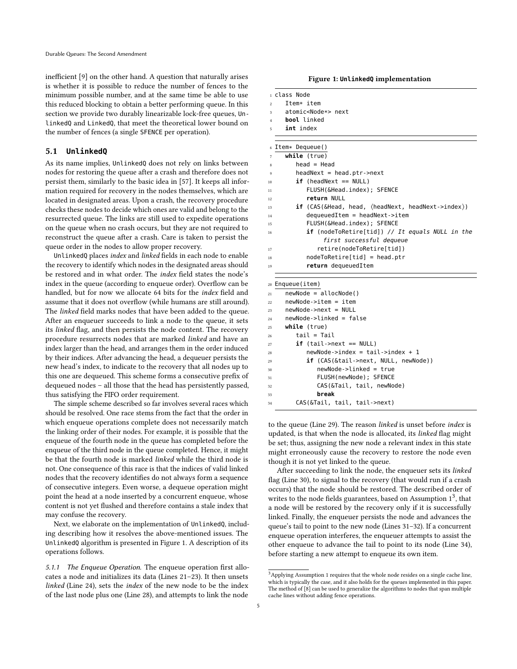inefficient [\[9\]](#page-12-3) on the other hand. A question that naturally arises is whether it is possible to reduce the number of fences to the minimum possible number, and at the same time be able to use this reduced blocking to obtain a better performing queue. In this section we provide two durably linearizable lock-free queues, UnlinkedQ and LinkedQ, that meet the theoretical lower bound on the number of fences (a single SFENCE per operation).

#### 5.1 **UnlinkedQ**

As its name implies, UnlinkedQ does not rely on links between nodes for restoring the queue after a crash and therefore does not persist them, similarly to the basic idea in [\[57\]](#page-12-11). It keeps all information required for recovery in the nodes themselves, which are located in designated areas. Upon a crash, the recovery procedure checks these nodes to decide which ones are valid and belong to the resurrected queue. The links are still used to expedite operations on the queue when no crash occurs, but they are not required to reconstruct the queue after a crash. Care is taken to persist the queue order in the nodes to allow proper recovery.

UnlinkedQ places index and linked fields in each node to enable the recovery to identify which nodes in the designated areas should be restored and in what order. The index field states the node's index in the queue (according to enqueue order). Overflow can be handled, but for now we allocate 64 bits for the index field and assume that it does not overflow (while humans are still around). The *linked* field marks nodes that have been added to the queue. After an enqueuer succeeds to link a node to the queue, it sets its linked flag, and then persists the node content. The recovery procedure resurrects nodes that are marked linked and have an index larger than the head, and arranges them in the order induced by their indices. After advancing the head, a dequeuer persists the new head's index, to indicate to the recovery that all nodes up to this one are dequeued. This scheme forms a consecutive prefix of dequeued nodes – all those that the head has persistently passed, thus satisfying the FIFO order requirement.

The simple scheme described so far involves several races which should be resolved. One race stems from the fact that the order in which enqueue operations complete does not necessarily match the linking order of their nodes. For example, it is possible that the enqueue of the fourth node in the queue has completed before the enqueue of the third node in the queue completed. Hence, it might be that the fourth node is marked linked while the third node is not. One consequence of this race is that the indices of valid linked nodes that the recovery identifies do not always form a sequence of consecutive integers. Even worse, a dequeue operation might point the head at a node inserted by a concurrent enqueue, whose content is not yet flushed and therefore contains a stale index that may confuse the recovery.

Next, we elaborate on the implementation of UnlinkedQ, including describing how it resolves the above-mentioned issues. The UnlinkedQ algorithm is presented in Figure [1.](#page-4-0) A description of its operations follows.

5.1.1 The Enqueue Operation. The enqueue operation first allocates a node and initializes its data (Lines [21–](#page-4-1)[23\)](#page-4-2). It then unsets linked (Line [24\)](#page-4-3), sets the index of the new node to be the index of the last node plus one (Line [28\)](#page-4-4), and attempts to link the node

<span id="page-4-13"></span><span id="page-4-12"></span><span id="page-4-11"></span><span id="page-4-0"></span>

|                | ı class Node                                                               |  |  |  |
|----------------|----------------------------------------------------------------------------|--|--|--|
| $\overline{2}$ | Item* item                                                                 |  |  |  |
| 3              | atomic <node*> next</node*>                                                |  |  |  |
| $\overline{4}$ | <b>bool</b> linked                                                         |  |  |  |
| 5              | int index                                                                  |  |  |  |
|                |                                                                            |  |  |  |
| 6              | Item* Dequeue()                                                            |  |  |  |
| 7              | while (true)                                                               |  |  |  |
| 8              | $head = Head$                                                              |  |  |  |
| 9              | $headNext = head.ptr \rightarrow next$                                     |  |  |  |
| 10             | $if$ (headNext == NULL)                                                    |  |  |  |
| 11             | FLUSH(&Head.index); SFENCE                                                 |  |  |  |
| 12             | return NULL                                                                |  |  |  |
| 13             | <b>if</b> $(CAS(\&Head, head, \langle headNext, headNext->index \rangle))$ |  |  |  |
| 14             | $dequeuedItem = headNext - $ item                                          |  |  |  |
| 15             | FLUSH(&Head.index); SFENCE                                                 |  |  |  |
| 16             | <b>if</b> (nodeToRetire[tid]) // It equals NULL in the                     |  |  |  |
|                | first successful dequeue                                                   |  |  |  |
| 17             | retire(nodeToRetire[tid])                                                  |  |  |  |
| 18             | $nodeToRetire[tid] = head.ptr$                                             |  |  |  |
| 19             | return dequeuedItem                                                        |  |  |  |
|                |                                                                            |  |  |  |
| 20             | Enqueue(item)                                                              |  |  |  |
| 21             | $newNode = allocNode()$                                                    |  |  |  |
| 22             | newNode->item = item                                                       |  |  |  |
| 23             | $newNode \rightarrow next = NULL$                                          |  |  |  |
| 24             | newNode->linked = false                                                    |  |  |  |
| 25             | while (true)                                                               |  |  |  |
| 26             | tail = Tail                                                                |  |  |  |
| 27             | $if$ (tail->next == NULL)                                                  |  |  |  |
| 28             | $newNode\rightarrow index = tail\rightarrow index + 1$                     |  |  |  |
| 29             | <b>if</b> (CAS(&tail->next, NULL, newNode))                                |  |  |  |
| 30             | newNode->linked = true                                                     |  |  |  |
|                | $E[ I CH/nouModo]$ , CEENCE                                                |  |  |  |

<span id="page-4-10"></span><span id="page-4-9"></span><span id="page-4-8"></span><span id="page-4-6"></span><span id="page-4-5"></span><span id="page-4-4"></span><span id="page-4-3"></span><span id="page-4-2"></span><span id="page-4-1"></span> FLUSH(newNode); SFENCE CAS(&Tail, tail, newNode) 33 **break** CAS(&Tail, tail, tail->next)

to the queue (Line [29\)](#page-4-5). The reason linked is unset before index is updated, is that when the node is allocated, its linked flag might be set; thus, assigning the new node a relevant index in this state might erroneously cause the recovery to restore the node even though it is not yet linked to the queue.

After succeeding to link the node, the enqueuer sets its linked flag (Line [30\)](#page-4-6), to signal to the recovery (that would run if a crash occurs) that the node should be restored. The described order of writes to the node fields guarantees, based on Assumption  $1<sup>3</sup>$  $1<sup>3</sup>$  $1<sup>3</sup>$ , that a node will be restored by the recovery only if it is successfully linked. Finally, the enqueuer persists the node and advances the queue's tail to point to the new node (Lines [31–](#page-4-8)[32\)](#page-4-9). If a concurrent enqueue operation interferes, the enqueuer attempts to assist the other enqueue to advance the tail to point to its node (Line [34\)](#page-4-10), before starting a new attempt to enqueue its own item.

<span id="page-4-7"></span> $3$ Applying Assumption [1](#page-2-1) requires that the whole node resides on a single cache line, which is typically the case, and it also holds for the queues implemented in this paper. The method of [\[8\]](#page-12-26) can be used to generalize the algorithms to nodes that span multiple cache lines without adding fence operations.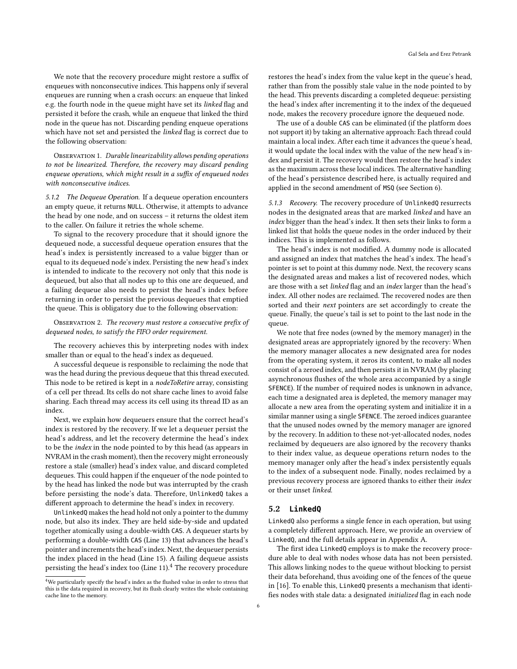We note that the recovery procedure might restore a suffix of enqueues with nonconsecutive indices. This happens only if several enqueues are running when a crash occurs: an enqueue that linked e.g. the fourth node in the queue might have set its linked flag and persisted it before the crash, while an enqueue that linked the third node in the queue has not. Discarding pending enqueue operations which have not set and persisted the linked flag is correct due to the following observation:

OBSERVATION 1. Durable linearizability allows pending operations to not be linearized. Therefore, the recovery may discard pending enqueue operations, which might result in a suffix of enqueued nodes with nonconsecutive indices.

5.1.2 The Dequeue Operation. If a dequeue operation encounters an empty queue, it returns NULL. Otherwise, it attempts to advance the head by one node, and on success – it returns the oldest item to the caller. On failure it retries the whole scheme.

To signal to the recovery procedure that it should ignore the dequeued node, a successful dequeue operation ensures that the head's index is persistently increased to a value bigger than or equal to its dequeued node's index. Persisting the new head's index is intended to indicate to the recovery not only that this node is dequeued, but also that all nodes up to this one are dequeued, and a failing dequeue also needs to persist the head's index before returning in order to persist the previous dequeues that emptied the queue. This is obligatory due to the following observation:

### OBSERVATION 2. The recovery must restore a consecutive prefix of dequeued nodes, to satisfy the FIFO order requirement.

The recovery achieves this by interpreting nodes with index smaller than or equal to the head's index as dequeued.

A successful dequeue is responsible to reclaiming the node that was the head during the previous dequeue that this thread executed. This node to be retired is kept in a nodeToRetire array, consisting of a cell per thread. Its cells do not share cache lines to avoid false sharing. Each thread may access its cell using its thread ID as an index.

Next, we explain how dequeuers ensure that the correct head's index is restored by the recovery. If we let a dequeuer persist the head's address, and let the recovery determine the head's index to be the index in the node pointed to by this head (as appears in NVRAM in the crash moment), then the recovery might erroneously restore a stale (smaller) head's index value, and discard completed dequeues. This could happen if the enqueuer of the node pointed to by the head has linked the node but was interrupted by the crash before persisting the node's data. Therefore, UnlinkedQ takes a different approach to determine the head's index in recovery.

UnlinkedQ makes the head hold not only a pointer to the dummy node, but also its index. They are held side-by-side and updated together atomically using a double-width CAS. A dequeuer starts by performing a double-width CAS (Line [13\)](#page-4-11) that advances the head's pointer and increments the head's index. Next, the dequeuer persists the index placed in the head (Line [15\)](#page-4-12). A failing dequeue assists persisting the head's index too (Line [11\)](#page-4-13).<sup>[4](#page-5-0)</sup> The recovery procedure restores the head's index from the value kept in the queue's head, rather than from the possibly stale value in the node pointed to by the head. This prevents discarding a completed dequeue: persisting the head's index after incrementing it to the index of the dequeued node, makes the recovery procedure ignore the dequeued node.

The use of a double CAS can be eliminated (if the platform does not support it) by taking an alternative approach: Each thread could maintain a local index. After each time it advances the queue's head, it would update the local index with the value of the new head's index and persist it. The recovery would then restore the head's index as the maximum across these local indices. The alternative handling of the head's persistence described here, is actually required and applied in the second amendment of MSQ (see Section [6\)](#page-6-0).

5.1.3 Recovery. The recovery procedure of UnlinkedQ resurrects nodes in the designated areas that are marked linked and have an index bigger than the head's index. It then sets their links to form a linked list that holds the queue nodes in the order induced by their indices. This is implemented as follows.

The head's index is not modified. A dummy node is allocated and assigned an index that matches the head's index. The head's pointer is set to point at this dummy node. Next, the recovery scans the designated areas and makes a list of recovered nodes, which are those with a set linked flag and an index larger than the head's index. All other nodes are reclaimed. The recovered nodes are then sorted and their next pointers are set accordingly to create the queue. Finally, the queue's tail is set to point to the last node in the queue.

We note that free nodes (owned by the memory manager) in the designated areas are appropriately ignored by the recovery: When the memory manager allocates a new designated area for nodes from the operating system, it zeros its content, to make all nodes consist of a zeroed index, and then persists it in NVRAM (by placing asynchronous flushes of the whole area accompanied by a single SFENCE). If the number of required nodes is unknown in advance, each time a designated area is depleted, the memory manager may allocate a new area from the operating system and initialize it in a similar manner using a single SFENCE. The zeroed indices guarantee that the unused nodes owned by the memory manager are ignored by the recovery. In addition to these not-yet-allocated nodes, nodes reclaimed by dequeuers are also ignored by the recovery thanks to their index value, as dequeue operations return nodes to the memory manager only after the head's index persistently equals to the index of a subsequent node. Finally, nodes reclaimed by a previous recovery process are ignored thanks to either their index or their unset linked.

# <span id="page-5-1"></span>5.2 **LinkedQ**

LinkedQ also performs a single fence in each operation, but using a completely different approach. Here, we provide an overview of LinkedQ, and the full details appear in Appendix [A.](#page-13-0)

The first idea LinkedQ employs is to make the recovery procedure able to deal with nodes whose data has not been persisted. This allows linking nodes to the queue without blocking to persist their data beforehand, thus avoiding one of the fences of the queue in [\[16\]](#page-12-10). To enable this, LinkedQ presents a mechanism that identifies nodes with stale data: a designated initialized flag in each node

<span id="page-5-0"></span><sup>4</sup>We particularly specify the head's index as the flushed value in order to stress that this is the data required in recovery, but its flush clearly writes the whole containing cache line to the memory.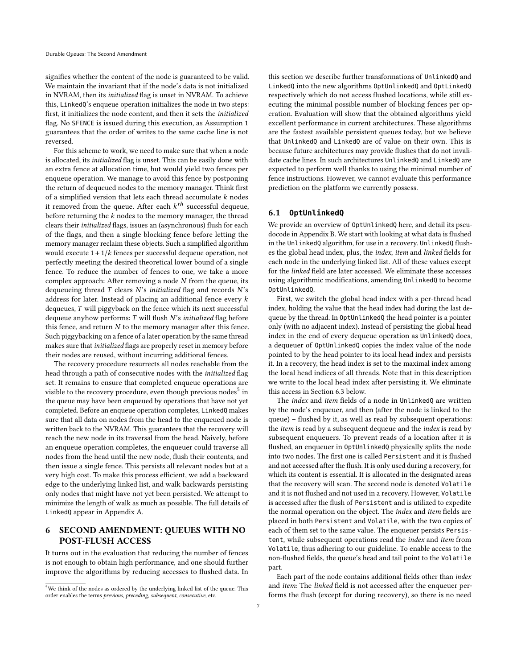signifies whether the content of the node is guaranteed to be valid. We maintain the invariant that if the node's data is not initialized in NVRAM, then its initialized flag is unset in NVRAM. To achieve this, LinkedQ's enqueue operation initializes the node in two steps: first, it initializes the node content, and then it sets the initialized flag. No SFENCE is issued during this execution, as Assumption [1](#page-2-1) guarantees that the order of writes to the same cache line is not reversed.

For this scheme to work, we need to make sure that when a node is allocated, its initialized flag is unset. This can be easily done with an extra fence at allocation time, but would yield two fences per enqueue operation. We manage to avoid this fence by postponing the return of dequeued nodes to the memory manager. Think first of a simplified version that lets each thread accumulate  $k$  nodes it removed from the queue. After each  $k^{th}$  successful dequeue, before returning the  $k$  nodes to the memory manager, the thread clears their initialized flags, issues an (asynchronous) flush for each of the flags, and then a single blocking fence before letting the memory manager reclaim these objects. Such a simplified algorithm would execute  $1 + 1/k$  fences per successful dequeue operation, not perfectly meeting the desired theoretical lower bound of a single fence. To reduce the number of fences to one, we take a more complex approach: After removing a node  $N$  from the queue, its dequeueing thread  $T$  clears  $N$ 's *initialized* flag and records  $N$ 's address for later. Instead of placing an additional fence every  $k$ dequeues,  $T$  will piggyback on the fence which its next successful dequeue anyhow performs:  $T$  will flush  $N$ 's *initialized* flag before this fence, and return  $N$  to the memory manager after this fence. Such piggybacking on a fence of a later operation by the same thread makes sure that initialized flags are properly reset in memory before their nodes are reused, without incurring additional fences.

The recovery procedure resurrects all nodes reachable from the head through a path of consecutive nodes with the initialized flag set. It remains to ensure that completed enqueue operations are visible to the recovery procedure, even though previous nodes<sup>[5](#page-6-1)</sup> in the queue may have been enqueued by operations that have not yet completed. Before an enqueue operation completes, LinkedQ makes sure that all data on nodes from the head to the enqueued node is written back to the NVRAM. This guarantees that the recovery will reach the new node in its traversal from the head. Naively, before an enqueue operation completes, the enqueuer could traverse all nodes from the head until the new node, flush their contents, and then issue a single fence. This persists all relevant nodes but at a very high cost. To make this process efficient, we add a backward edge to the underlying linked list, and walk backwards persisting only nodes that might have not yet been persisted. We attempt to minimize the length of walk as much as possible. The full details of LinkedQ appear in Appendix [A.](#page-13-0)

# <span id="page-6-0"></span>6 SECOND AMENDMENT: QUEUES WITH NO POST-FLUSH ACCESS

It turns out in the evaluation that reducing the number of fences is not enough to obtain high performance, and one should further improve the algorithms by reducing accesses to flushed data. In this section we describe further transformations of UnlinkedQ and LinkedQ into the new algorithms OptUnlinkedQ and OptLinkedQ respectively which do not access flushed locations, while still executing the minimal possible number of blocking fences per operation. Evaluation will show that the obtained algorithms yield excellent performance in current architectures. These algorithms are the fastest available persistent queues today, but we believe that UnlinkedQ and LinkedQ are of value on their own. This is because future architectures may provide flushes that do not invalidate cache lines. In such architectures UnlinkedQ and LinkedQ are expected to perform well thanks to using the minimal number of fence instructions. However, we cannot evaluate this performance prediction on the platform we currently possess.

### <span id="page-6-2"></span>6.1 **OptUnlinkedQ**

We provide an overview of OptUnlinkedQ here, and detail its pseudocode in Appendix [B.](#page-15-1) We start with looking at what data is flushed in the UnlinkedQ algorithm, for use in a recovery. UnlinkedQ flushes the global head index, plus, the index, item and linked fields for each node in the underlying linked list. All of these values except for the linked field are later accessed. We eliminate these accesses using algorithmic modifications, amending UnlinkedQ to become OptUnlinkedQ.

First, we switch the global head index with a per-thread head index, holding the value that the head index had during the last dequeue by the thread. In OptUnlinkedQ the head pointer is a pointer only (with no adjacent index). Instead of persisting the global head index in the end of every dequeue operation as UnlinkedQ does, a dequeuer of OptUnlinkedQ copies the index value of the node pointed to by the head pointer to its local head index and persists it. In a recovery, the head index is set to the maximal index among the local head indices of all threads. Note that in this description we write to the local head index after persisting it. We eliminate this access in Section [6.3](#page-8-1) below.

The *index* and *item* fields of a node in UnlinkedQ are written by the node's enqueuer, and then (after the node is linked to the queue) – flushed by it, as well as read by subsequent operations: the item is read by a subsequent dequeue and the index is read by subsequent enqueuers. To prevent reads of a location after it is flushed, an enqueuer in OptUnlinkedQ physically splits the node into two nodes. The first one is called Persistent and it is flushed and not accessed after the flush. It is only used during a recovery, for which its content is essential. It is allocated in the designated areas that the recovery will scan. The second node is denoted Volatile and it is not flushed and not used in a recovery. However, Volatile is accessed after the flush of Persistent and is utilized to expedite the normal operation on the object. The index and item fields are placed in both Persistent and Volatile, with the two copies of each of them set to the same value. The enqueuer persists Persistent, while subsequent operations read the index and item from Volatile, thus adhering to our guideline. To enable access to the non-flushed fields, the queue's head and tail point to the Volatile part.

Each part of the node contains additional fields other than index and item: The linked field is not accessed after the enqueuer performs the flush (except for during recovery), so there is no need

<span id="page-6-1"></span><sup>&</sup>lt;sup>5</sup>We think of the nodes as ordered by the underlying linked list of the queue. This order enables the terms previous, preceding, subsequent, consecutive, etc.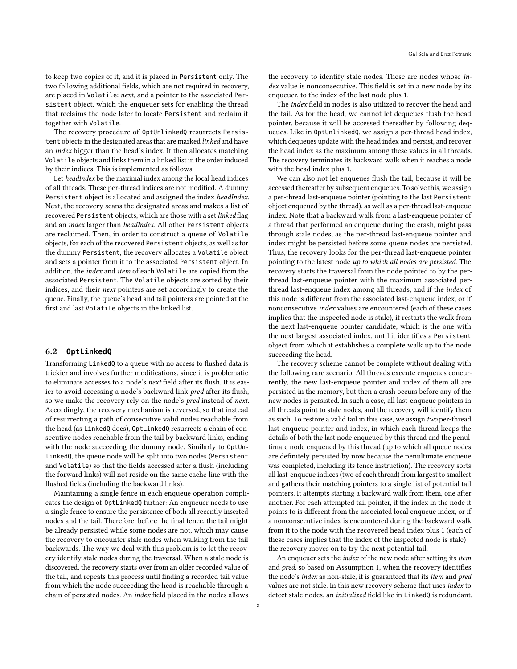to keep two copies of it, and it is placed in Persistent only. The two following additional fields, which are not required in recovery, are placed in Volatile: next, and a pointer to the associated Persistent object, which the enqueuer sets for enabling the thread that reclaims the node later to locate Persistent and reclaim it together with Volatile.

The recovery procedure of OptUnlinkedQ resurrects Persistent objects in the designated areas that are marked linked and have an index bigger than the head's index. It then allocates matching Volatile objects and links them in a linked list in the order induced by their indices. This is implemented as follows.

Let headIndex be the maximal index among the local head indices of all threads. These per-thread indices are not modified. A dummy Persistent object is allocated and assigned the index headIndex. Next, the recovery scans the designated areas and makes a list of recovered Persistent objects, which are those with a set linked flag and an index larger than headIndex. All other Persistent objects are reclaimed. Then, in order to construct a queue of Volatile objects, for each of the recovered Persistent objects, as well as for the dummy Persistent, the recovery allocates a Volatile object and sets a pointer from it to the associated Persistent object. In addition, the index and item of each Volatile are copied from the associated Persistent. The Volatile objects are sorted by their indices, and their next pointers are set accordingly to create the queue. Finally, the queue's head and tail pointers are pointed at the first and last Volatile objects in the linked list.

#### 6.2 **OptLinkedQ**

Transforming LinkedQ to a queue with no access to flushed data is trickier and involves further modifications, since it is problematic to eliminate accesses to a node's next field after its flush. It is easier to avoid accessing a node's backward link pred after its flush, so we make the recovery rely on the node's *pred* instead of *next*. Accordingly, the recovery mechanism is reversed, so that instead of resurrecting a path of consecutive valid nodes reachable from the head (as LinkedQ does), OptLinkedQ resurrects a chain of consecutive nodes reachable from the tail by backward links, ending with the node succeeding the dummy node. Similarly to OptUnlinkedQ, the queue node will be split into two nodes (Persistent and Volatile) so that the fields accessed after a flush (including the forward links) will not reside on the same cache line with the flushed fields (including the backward links).

Maintaining a single fence in each enqueue operation complicates the design of OptLinkedQ further: An enqueuer needs to use a single fence to ensure the persistence of both all recently inserted nodes and the tail. Therefore, before the final fence, the tail might be already persisted while some nodes are not, which may cause the recovery to encounter stale nodes when walking from the tail backwards. The way we deal with this problem is to let the recovery identify stale nodes during the traversal. When a stale node is discovered, the recovery starts over from an older recorded value of the tail, and repeats this process until finding a recorded tail value from which the node succeeding the head is reachable through a chain of persisted nodes. An index field placed in the nodes allows

the recovery to identify stale nodes. These are nodes whose index value is nonconsecutive. This field is set in a new node by its enqueuer, to the index of the last node plus 1.

The *index* field in nodes is also utilized to recover the head and the tail. As for the head, we cannot let dequeues flush the head pointer, because it will be accessed thereafter by following dequeues. Like in OptUnlinkedQ, we assign a per-thread head index, which dequeues update with the head index and persist, and recover the head index as the maximum among these values in all threads. The recovery terminates its backward walk when it reaches a node with the head index plus 1.

We can also not let enqueues flush the tail, because it will be accessed thereafter by subsequent enqueues. To solve this, we assign a per-thread last-enqueue pointer (pointing to the last Persistent object enqueued by the thread), as well as a per-thread last-enqueue index. Note that a backward walk from a last-enqueue pointer of a thread that performed an enqueue during the crash, might pass through stale nodes, as the per-thread last-enqueue pointer and index might be persisted before some queue nodes are persisted. Thus, the recovery looks for the per-thread last-enqueue pointer pointing to the latest node up to which all nodes are persisted. The recovery starts the traversal from the node pointed to by the perthread last-enqueue pointer with the maximum associated perthread last-enqueue index among all threads, and if the index of this node is different from the associated last-enqueue index, or if nonconsecutive index values are encountered (each of these cases implies that the inspected node is stale), it restarts the walk from the next last-enqueue pointer candidate, which is the one with the next largest associated index, until it identifies a Persistent object from which it establishes a complete walk up to the node succeeding the head.

The recovery scheme cannot be complete without dealing with the following rare scenario. All threads execute enqueues concurrently, the new last-enqueue pointer and index of them all are persisted in the memory, but then a crash occurs before any of the new nodes is persisted. In such a case, all last-enqueue pointers in all threads point to stale nodes, and the recovery will identify them as such. To restore a valid tail in this case, we assign two per-thread last-enqueue pointer and index, in which each thread keeps the details of both the last node enqueued by this thread and the penultimate node enqueued by this thread (up to which all queue nodes are definitely persisted by now because the penultimate enqueue was completed, including its fence instruction). The recovery sorts all last-enqueue indices (two of each thread) from largest to smallest and gathers their matching pointers to a single list of potential tail pointers. It attempts starting a backward walk from them, one after another. For each attempted tail pointer, if the index in the node it points to is different from the associated local enqueue index, or if a nonconsecutive index is encountered during the backward walk from it to the node with the recovered head index plus 1 (each of these cases implies that the index of the inspected node is stale) – the recovery moves on to try the next potential tail.

An enqueuer sets the index of the new node after setting its item and pred, so based on Assumption [1,](#page-2-1) when the recovery identifies the node's index as non-stale, it is guaranteed that its item and pred values are not stale. In this new recovery scheme that uses index to detect stale nodes, an initialized field like in LinkedQ is redundant.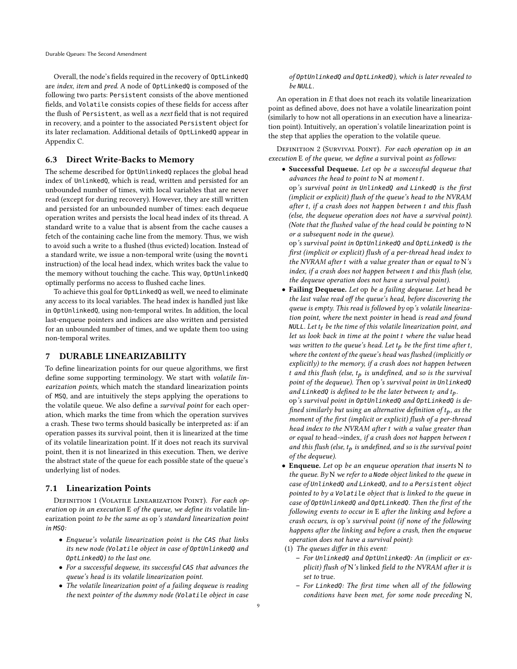Overall, the node's fields required in the recovery of OptLinkedQ are index, item and pred. A node of OptLinkedQ is composed of the following two parts: Persistent consists of the above mentioned fields, and Volatile consists copies of these fields for access after the flush of Persistent, as well as a next field that is not required in recovery, and a pointer to the associated Persistent object for its later reclamation. Additional details of OptLinkedQ appear in Appendix [C.](#page-15-0)

### <span id="page-8-1"></span>6.3 Direct Write-Backs to Memory

The scheme described for OptUnlinkedQ replaces the global head index of UnlinkedQ, which is read, written and persisted for an unbounded number of times, with local variables that are never read (except for during recovery). However, they are still written and persisted for an unbounded number of times: each dequeue operation writes and persists the local head index of its thread. A standard write to a value that is absent from the cache causes a fetch of the containing cache line from the memory. Thus, we wish to avoid such a write to a flushed (thus evicted) location. Instead of a standard write, we issue a non-temporal write (using the movnti instruction) of the local head index, which writes back the value to the memory without touching the cache. This way, OptUnlinkedQ optimally performs no access to flushed cache lines.

To achieve this goal for OptLinkedQ as well, we need to eliminate any access to its local variables. The head index is handled just like in OptUnlinkedQ, using non-temporal writes. In addition, the local last-enqueue pointers and indices are also written and persisted for an unbounded number of times, and we update them too using non-temporal writes.

### <span id="page-8-0"></span>7 DURABLE LINEARIZABILITY

To define linearization points for our queue algorithms, we first define some supporting terminology. We start with volatile linearization points, which match the standard linearization points of MSQ, and are intuitively the steps applying the operations to the volatile queue. We also define a survival point for each operation, which marks the time from which the operation survives a crash. These two terms should basically be interpreted as: if an operation passes its survival point, then it is linearized at the time of its volatile linearization point. If it does not reach its survival point, then it is not linearized in this execution. Then, we derive the abstract state of the queue for each possible state of the queue's underlying list of nodes.

### 7.1 Linearization Points

DEFINITION 1 (VOLATILE LINEARIZATION POINT). For each operation op in an execution E of the queue, we define its volatile linearization point to be the same as op's standard linearization point in MSQ:

- Enqueue's volatile linearization point is the CAS that links its new node (Volatile object in case of OptUnlinkedQ and OptLinkedQ) to the last one.
- For a successful dequeue, its successful CAS that advances the queue's head is its volatile linearization point.
- The volatile linearization point of a failing dequeue is reading the next pointer of the dummy node (Volatile object in case

#### of OptUnlinkedQ and OptLinkedQ), which is later revealed to  $be$  NIII 1

An operation in E that does not reach its volatile linearization point as defined above, does not have a volatile linearization point (similarly to how not all operations in an execution have a linearization point). Intuitively, an operation's volatile linearization point is the step that applies the operation to the volatile queue.

DEFINITION 2 (SURVIVAL POINT). For each operation op in an execution E of the queue, we define a survival point as follows:

• Successful Dequeue. Let op be a successful dequeue that advances the head to point to  $N$  at moment  $t$ . op's survival point in UnlinkedQ and LinkedQ is the first (implicit or explicit) flush of the queue's head to the NVRAM after t, if a crash does not happen between t and this flush (else, the dequeue operation does not have a survival point). (Note that the flushed value of the head could be pointing to N or a subsequent node in the queue).

op's survival point in OptUnlinkedQ and OptLinkedQ is the first (implicit or explicit) flush of a per-thread head index to the NVRAM after  $t$  with a value greater than or equal to  $N$ 's  $index, if a crash does not happen between t and this flush (else,$ the dequeue operation does not have a survival point).

• Failing Dequeue. Let op be a failing dequeue. Let head be the last value read off the queue's head, before discovering the queue is empty. This read is followed by op's volatile linearization point, where the next pointer in head is read and found NULL. Let  $t_{\ell}$  be the time of this volatile linearization point, and let us look back in time at the point t where the value head was written to the queue's head. Let  $t_p$  be the first time after t, where the content of the queue's head was flushed (implicitly or  $explicitly)$  to the memory, if a crash does not happen between t and this flush (else,  $t_p$  is undefined, and so is the survival point of the dequeue). Then op's survival point in UnlinkedQ and LinkedQ is defined to be the later between  $t_f$  and  $t_p$ . op's survival point in OptUnlinkedQ and OptLinkedQ is de-

fined similarly but using an alternative definition of  $t_p$ , as the moment of the first (implicit or explicit) flush of a per-thread head index to the NVRAM after t with a value greater than or equal to head->index, if a crash does not happen between t and this flush (else,  $t_p$  is undefined, and so is the survival point of the dequeue).

- Enqueue. Let op be an enqueue operation that inserts N to the queue. By N we refer to a Node object linked to the queue in case of UnlinkedQ and LinkedQ, and to a Persistent object pointed to by a Volatile object that is linked to the queue in case of OptUnlinkedQ and OptLinkedQ. Then the first of the following events to occur in E after the linking and before a crash occurs, is op's survival point (if none of the following happens after the linking and before a crash, then the enqueue operation does not have a survival point):
- (1) The queues differ in this event:
	- For UnlinkedQ and OptUnlinkedQ: An (implicit or explicit) flush of N's linked field to the NVRAM after it is set to true.
	- For LinkedQ: The first time when all of the following conditions have been met, for some node preceding N,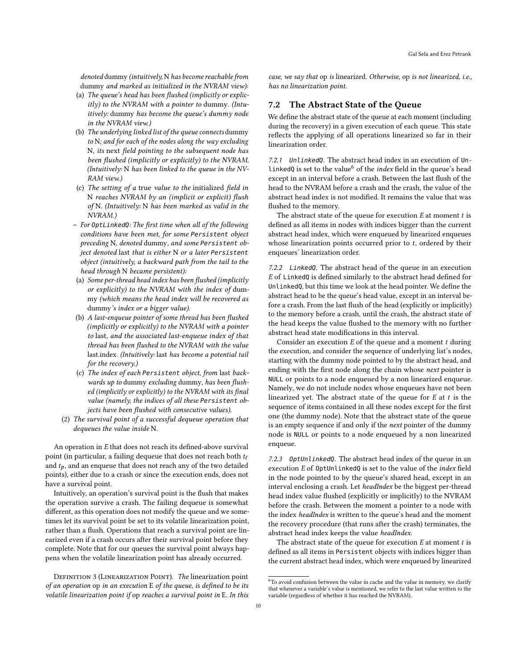denoted dummy (intuitively, N has become reachable from dummy and marked as initialized in the NVRAM view):

- (a) The queue's head has been flushed (implicitly or explicitly) to the NVRAM with a pointer to dummy. (Intuitively: dummy has become the queue's dummy node in the NVRAM view.)
- (b) The underlying linked list of the queue connects dummy to N; and for each of the nodes along the way excluding N, its next field pointing to the subsequent node has been flushed (implicitly or explicitly) to the NVRAM. (Intuitively: N has been linked to the queue in the NV-RAM view.)
- (c) The setting of a true value to the initialized field in N reaches NVRAM by an (implicit or explicit) flush of N. (Intuitively: N has been marked as valid in the NVRAM.)
- For OptLinkedQ: The first time when all of the following conditions have been met, for some Persistent object preceding N, denoted dummy, and some Persistent object denoted last that is either N or a later Persistent object (intuitively, a backward path from the tail to the head through N became persistent):
- (a) Some per-thread head index has been flushed (implicitly or explicitly) to the NVRAM with the index of dummy (which means the head index will be recovered as dummy's index or a bigger value).
- (b) A last-enqueue pointer of some thread has been flushed (implicitly or explicitly) to the NVRAM with a pointer to last, and the associated last-enqueue index of that thread has been flushed to the NVRAM with the value last.index. (Intuitively: last has become a potential tail for the recovery.)
- (c) The index of each Persistent object, from last backwards up to dummy excluding dummy, has been flushed (implicitly or explicitly) to the NVRAM with its final value (namely, the indices of all these Persistent objects have been flushed with consecutive values).
- (2) The survival point of a successful dequeue operation that dequeues the value inside N.

An operation in E that does not reach its defined-above survival point (in particular, a failing dequeue that does not reach both  $t_f$ and  $t_p$ , and an enqueue that does not reach any of the two detailed points), either due to a crash or since the execution ends, does not have a survival point.

Intuitively, an operation's survival point is the flush that makes the operation survive a crash. The failing dequeue is somewhat different, as this operation does not modify the queue and we sometimes let its survival point be set to its volatile linearization point, rather than a flush. Operations that reach a survival point are linearized even if a crash occurs after their survival point before they complete. Note that for our queues the survival point always happens when the volatile linearization point has already occurred.

DEFINITION 3 (LINEARIZATION POINT). The linearization point of an operation op in an execution E of the queue, is defined to be its volatile linearization point if op reaches a survival point in E. In this case, we say that op is linearized. Otherwise, op is not linearized, i.e., has no linearization point.

# 7.2 The Abstract State of the Queue

We define the abstract state of the queue at each moment (including during the recovery) in a given execution of each queue. This state reflects the applying of all operations linearized so far in their linearization order.

7.2.1 UnlinkedQ. The abstract head index in an execution of Un-linkedQ is set to the value<sup>[6](#page-9-0)</sup> of the *index* field in the queue's head except in an interval before a crash. Between the last flush of the head to the NVRAM before a crash and the crash, the value of the abstract head index is not modified. It remains the value that was flushed to the memory.

The abstract state of the queue for execution  $E$  at moment  $t$  is defined as all items in nodes with indices bigger than the current abstract head index, which were enqueued by linearized enqueues whose linearization points occurred prior to  $t$ , ordered by their enqueues' linearization order.

7.2.2 LinkedQ. The abstract head of the queue in an execution E of LinkedQ is defined similarly to the abstract head defined for UnlinkedQ, but this time we look at the head pointer. We define the abstract head to be the queue's head value, except in an interval before a crash. From the last flush of the head (explicitly or implicitly) to the memory before a crash, until the crash, the abstract state of the head keeps the value flushed to the memory with no further abstract head state modifications in this interval.

Consider an execution  $E$  of the queue and a moment  $t$  during the execution, and consider the sequence of underlying list's nodes, starting with the dummy node pointed to by the abstract head, and ending with the first node along the chain whose next pointer is NULL or points to a node enqueued by a non linearized enqueue. Namely, we do not include nodes whose enqueues have not been linearized yet. The abstract state of the queue for  $E$  at  $t$  is the sequence of items contained in all these nodes except for the first one (the dummy node). Note that the abstract state of the queue is an empty sequence if and only if the next pointer of the dummy node is NULL or points to a node enqueued by a non linearized enqueue.

7.2.3 OptUnlinkedQ. The abstract head index of the queue in an execution E of OptUnlinkedQ is set to the value of the index field in the node pointed to by the queue's shared head, except in an interval enclosing a crash. Let headIndex be the biggest per-thread head index value flushed (explicitly or implicitly) to the NVRAM before the crash. Between the moment a pointer to a node with the index headIndex is written to the queue's head and the moment the recovery procedure (that runs after the crash) terminates, the abstract head index keeps the value headIndex.

The abstract state of the queue for execution  $E$  at moment  $t$  is defined as all items in Persistent objects with indices bigger than the current abstract head index, which were enqueued by linearized

<span id="page-9-0"></span> ${}^{6}$  To avoid confusion between the value in cache and the value in memory, we clarify that whenever a variable's value is mentioned, we refer to the last value written to the variable (regardless of whether it has reached the NVRAM).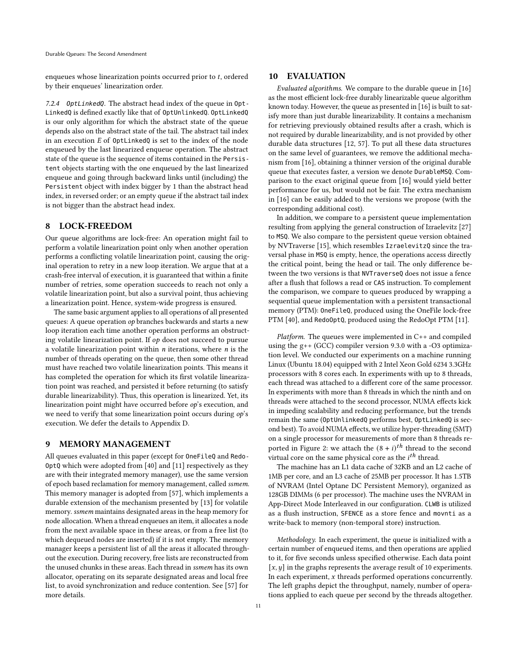enqueues whose linearization points occurred prior to  $t$ , ordered by their enqueues' linearization order.

7.2.4 OptLinkedQ. The abstract head index of the queue in Opt-LinkedQ is defined exactly like that of OptUnlinkedQ. OptLinkedQ is our only algorithm for which the abstract state of the queue depends also on the abstract state of the tail. The abstract tail index in an execution  $E$  of  $0$ ptLinkedQ is set to the index of the node enqueued by the last linearized enqueue operation. The abstract state of the queue is the sequence of items contained in the Persistent objects starting with the one enqueued by the last linearized enqueue and going through backward links until (including) the Persistent object with index bigger by 1 than the abstract head index, in reversed order; or an empty queue if the abstract tail index is not bigger than the abstract head index.

# <span id="page-10-0"></span>8 LOCK-FREEDOM

Our queue algorithms are lock-free: An operation might fail to perform a volatile linearization point only when another operation performs a conflicting volatile linearization point, causing the original operation to retry in a new loop iteration. We argue that at a crash-free interval of execution, it is guaranteed that within a finite number of retries, some operation succeeds to reach not only a volatile linearization point, but also a survival point, thus achieving a linearization point. Hence, system-wide progress is ensured.

The same basic argument applies to all operations of all presented queues: A queue operation op branches backwards and starts a new loop iteration each time another operation performs an obstructing volatile linearization point. If  $op$  does not succeed to pursue a volatile linearization point within  $n$  iterations, where  $n$  is the number of threads operating on the queue, then some other thread must have reached two volatile linearization points. This means it has completed the operation for which its first volatile linearization point was reached, and persisted it before returning (to satisfy durable linearizability). Thus, this operation is linearized. Yet, its linearization point might have occurred before op's execution, and we need to verify that some linearization point occurs during op's execution. We defer the details to Appendix [D.](#page-17-0)

#### <span id="page-10-1"></span>9 MEMORY MANAGEMENT

All queues evaluated in this paper (except for OneFileQ and Redo-OptQ which were adopted from [\[40\]](#page-12-35) and [\[11\]](#page-12-43) respectively as they are with their integrated memory manager), use the same version of epoch based reclamation for memory management, called ssmem. This memory manager is adopted from [\[57\]](#page-12-11), which implements a durable extension of the mechanism presented by [\[13\]](#page-12-44) for volatile memory. ssmem maintains designated areas in the heap memory for node allocation. When a thread enqueues an item, it allocates a node from the next available space in these areas, or from a free list (to which dequeued nodes are inserted) if it is not empty. The memory manager keeps a persistent list of all the areas it allocated throughout the execution. During recovery, free lists are reconstructed from the unused chunks in these areas. Each thread in ssmem has its own allocator, operating on its separate designated areas and local free list, to avoid synchronization and reduce contention. See [\[57\]](#page-12-11) for more details.

# <span id="page-10-2"></span>10 EVALUATION

Evaluated algorithms. We compare to the durable queue in [\[16\]](#page-12-10) as the most efficient lock-free durably linearizable queue algorithm known today. However, the queue as presented in [\[16\]](#page-12-10) is built to satisfy more than just durable linearizability. It contains a mechanism for retrieving previously obtained results after a crash, which is not required by durable linearizability, and is not provided by other durable data structures [\[12,](#page-12-41) [57\]](#page-12-11). To put all these data structures on the same level of guarantees, we remove the additional mechanism from [\[16\]](#page-12-10), obtaining a thinner version of the original durable queue that executes faster, a version we denote DurableMSQ. Comparison to the exact original queue from [\[16\]](#page-12-10) would yield better performance for us, but would not be fair. The extra mechanism in [\[16\]](#page-12-10) can be easily added to the versions we propose (with the corresponding additional cost).

In addition, we compare to a persistent queue implementation resulting from applying the general construction of Izraelevitz [\[27\]](#page-12-4) to MSQ. We also compare to the persistent queue version obtained by NVTraverse [\[15\]](#page-12-13), which resembles IzraelevitzQ since the traversal phase in MSQ is empty, hence, the operations access directly the critical point, being the head or tail. The only difference between the two versions is that NVTraverseQ does not issue a fence after a flush that follows a read or CAS instruction. To complement the comparison, we compare to queues produced by wrapping a sequential queue implementation with a persistent transactional memory (PTM): OneFileQ, produced using the OneFile lock-free PTM [\[40\]](#page-12-35), and RedoOptQ, produced using the RedoOpt PTM [\[11\]](#page-12-43).

Platform. The queues were implemented in C++ and compiled using the g++ (GCC) compiler version 9.3.0 with a -O3 optimization level. We conducted our experiments on a machine running Linux (Ubuntu 18.04) equipped with 2 Intel Xeon Gold 6234 3.3GHz processors with 8 cores each. In experiments with up to 8 threads, each thread was attached to a different core of the same processor. In experiments with more than 8 threads in which the ninth and on threads were attached to the second processor, NUMA effects kick in impeding scalability and reducing performance, but the trends remain the same (OptUnlinkedQ performs best, OptLinkedQ is second best). To avoid NUMA effects, we utilize hyper-threading (SMT) on a single processor for measurements of more than 8 threads re-ported in Figure [2:](#page-11-5) we attach the  $(8 + i)^{th}$  thread to the second virtual core on the same physical core as the  $i^{th}$  thread.

The machine has an L1 data cache of 32KB and an L2 cache of 1MB per core, and an L3 cache of 25MB per processor. It has 1.5TB of NVRAM (Intel Optane DC Persistent Memory), organized as 128GB DIMMs (6 per processor). The machine uses the NVRAM in App-Direct Mode Interleaved in our configuration. CLWB is utilized as a flush instruction, SFENCE as a store fence and movnti as a write-back to memory (non-temporal store) instruction.

Methodology. In each experiment, the queue is initialized with a certain number of enqueued items, and then operations are applied to it, for five seconds unless specified otherwise. Each data point  $[x, y]$  in the graphs represents the average result of 10 experiments. In each experiment,  $x$  threads performed operations concurrently. The left graphs depict the throughput, namely, number of operations applied to each queue per second by the threads altogether.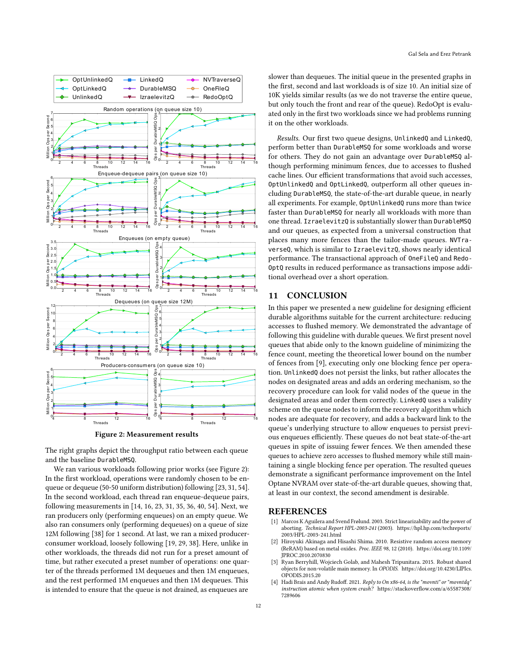<span id="page-11-5"></span>

Figure 2: Measurement results

The right graphs depict the throughput ratio between each queue and the baseline DurableMSQ.

We ran various workloads following prior works (see Figure [2\)](#page-11-5): In the first workload, operations were randomly chosen to be enqueue or dequeue (50-50 uniform distribution) following [\[23,](#page-12-45) [31,](#page-12-46) [54\]](#page-12-47). In the second workload, each thread ran enqueue-dequeue pairs, following measurements in [\[14,](#page-12-48) [16,](#page-12-10) [23,](#page-12-45) [31,](#page-12-46) [35,](#page-12-9) [36,](#page-12-49) [40,](#page-12-35) [54\]](#page-12-47). Next, we ran producers only (performing enqueues) on an empty queue. We also ran consumers only (performing dequeues) on a queue of size 12M following [\[38\]](#page-12-50) for 1 second. At last, we ran a mixed producerconsumer workload, loosely following [\[19,](#page-12-51) [29,](#page-12-52) [38\]](#page-12-50). Here, unlike in other workloads, the threads did not run for a preset amount of time, but rather executed a preset number of operations: one quarter of the threads performed 1M dequeues and then 1M enqueues, and the rest performed 1M enqueues and then 1M dequeues. This is intended to ensure that the queue is not drained, as enqueues are

slower than dequeues. The initial queue in the presented graphs in the first, second and last workloads is of size 10. An initial size of 10K yields similar results (as we do not traverse the entire queue, but only touch the front and rear of the queue). RedoOpt is evaluated only in the first two workloads since we had problems running it on the other workloads.

Results. Our first two queue designs, UnlinkedQ and LinkedQ, perform better than DurableMSQ for some workloads and worse for others. They do not gain an advantage over DurableMSQ although performing minimum fences, due to accesses to flushed cache lines. Our efficient transformations that avoid such accesses, OptUnlinkedQ and OptLinkedQ, outperform all other queues including DurableMSQ, the state-of-the-art durable queue, in nearly all experiments. For example, OptUnlinkedQ runs more than twice faster than DurableMSQ for nearly all workloads with more than one thread. IzraelevitzQ is substantially slower than DurableMSQ and our queues, as expected from a universal construction that places many more fences than the tailor-made queues. NVTraverseQ, which is similar to IzraelevitzQ, shows nearly identical performance. The transactional approach of OneFileQ and Redo-OptQ results in reduced performance as transactions impose additional overhead over a short operation.

# <span id="page-11-1"></span>11 CONCLUSION

In this paper we presented a new guideline for designing efficient durable algorithms suitable for the current architecture: reducing accesses to flushed memory. We demonstrated the advantage of following this guideline with durable queues. We first present novel queues that abide only to the known guideline of minimizing the fence count, meeting the theoretical lower bound on the number of fences from [\[9\]](#page-12-3), executing only one blocking fence per operation. UnlinkedQ does not persist the links, but rather allocates the nodes on designated areas and adds an ordering mechanism, so the recovery procedure can look for valid nodes of the queue in the designated areas and order them correctly. LinkedQ uses a validity scheme on the queue nodes to inform the recovery algorithm which nodes are adequate for recovery, and adds a backward link to the queue's underlying structure to allow enqueues to persist previous enqueues efficiently. These queues do not beat state-of-the-art queues in spite of issuing fewer fences. We then amended these queues to achieve zero accesses to flushed memory while still maintaining a single blocking fence per operation. The resulted queues demonstrate a significant performance improvement on the Intel Optane NVRAM over state-of-the-art durable queues, showing that, at least in our context, the second amendment is desirable.

# **REFERENCES**

- <span id="page-11-3"></span>[1] Marcos K Aguilera and Svend Frølund. 2003. Strict linearizability and the power of aborting. Technical Report HPL-2003-241 (2003). [https://hpl.hp.com/techreports/](https://hpl.hp.com/techreports/2003/HPL-2003-241.html) [2003/HPL-2003-241.html](https://hpl.hp.com/techreports/2003/HPL-2003-241.html)
- <span id="page-11-0"></span>Hiroyuki Akinaga and Hisashi Shima. 2010. Resistive random access memory (ReRAM) based on metal oxides. Proc. IEEE 98, 12 (2010). [https://doi.org/10.1109/](https://doi.org/10.1109/JPROC.2010.2070830) [JPROC.2010.2070830](https://doi.org/10.1109/JPROC.2010.2070830)
- <span id="page-11-4"></span>[3] Ryan Berryhill, Wojciech Golab, and Mahesh Tripunitara. 2015. Robust shared objects for non-volatile main memory. In OPODIS. [https://doi.org/10.4230/LIPIcs.](https://doi.org/10.4230/LIPIcs.OPODIS.2015.20) [OPODIS.2015.20](https://doi.org/10.4230/LIPIcs.OPODIS.2015.20)
- <span id="page-11-2"></span>[4] Hadi Brais and Andy Rudoff. 2021. Reply to On x86-64, is the "movnti" or "movntdq" instruction atomic when system crash? [https://stackoverflow.com/a/65587308/](https://stackoverflow.com/a/65587308/7289606) [7289606](https://stackoverflow.com/a/65587308/7289606)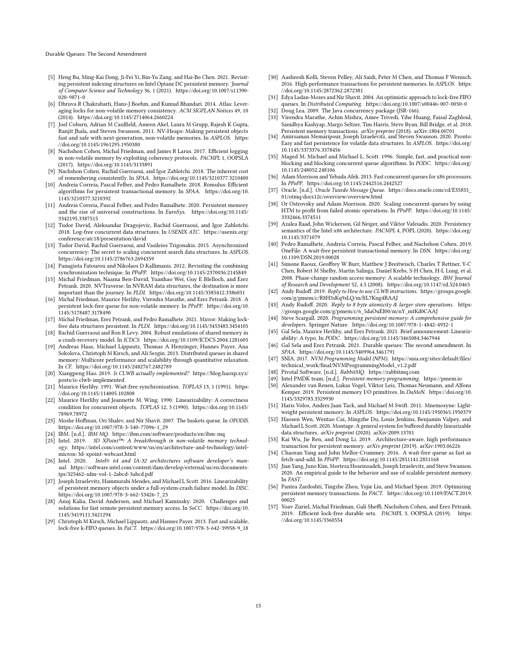Durable Queues: The Second Amendment

- <span id="page-12-12"></span>[5] Heng Bu, Ming-Kai Dong, Ji-Fei Yi, Bin-Yu Zang, and Hai-Bo Chen. 2021. Revisiting persistent indexing structures on Intel Optane DC persistent memory. Journal of Computer Science and Technology 36, 1 (2021). [https://doi.org/10.1007/s11390-](https://doi.org/10.1007/s11390-020-9871-0) [020-9871-0](https://doi.org/10.1007/s11390-020-9871-0)
- <span id="page-12-25"></span>[6] Dhruva R Chakrabarti, Hans-J Boehm, and Kumud Bhandari. 2014. Atlas: Leveraging locks for non-volatile memory consistency. ACM SIGPLAN Notices 49, 10 (2014).<https://doi.org/10.1145/2714064.2660224>
- <span id="page-12-31"></span>[7] Joel Coburn, Adrian M Caulfield, Ameen Akel, Laura M Grupp, Rajesh K Gupta, Ranjit Jhala, and Steven Swanson. 2011. NV-Heaps: Making persistent objects fast and safe with next-generation, non-volatile memories. In ASPLOS. [https:](https://doi.org/10.1145/1961295.1950380) [//doi.org/10.1145/1961295.1950380](https://doi.org/10.1145/1961295.1950380)
- <span id="page-12-26"></span>[8] Nachshon Cohen, Michal Friedman, and James R Larus. 2017. Efficient logging in non-volatile memory by exploiting coherency protocols. PACMPL 1, OOPSLA (2017).<https://doi.org/10.1145/3133891>
- <span id="page-12-3"></span>[9] Nachshon Cohen, Rachid Guerraoui, and Igor Zablotchi. 2018. The inherent cost of remembering consistently. In SPAA.<https://doi.org/10.1145/3210377.3210400>
- <span id="page-12-32"></span>[10] Andreia Correia, Pascal Felber, and Pedro Ramalhete. 2018. Romulus: Efficient algorithms for persistent transactional memory. In SPAA. [https://doi.org/10.](https://doi.org/10.1145/3210377.3210392) [1145/3210377.3210392](https://doi.org/10.1145/3210377.3210392)
- <span id="page-12-43"></span>[11] Andreia Correia, Pascal Felber, and Pedro Ramalhete. 2020. Persistent memory and the rise of universal constructions. In EuroSys. [https://doi.org/10.1145/](https://doi.org/10.1145/3342195.3387515) [3342195.3387515](https://doi.org/10.1145/3342195.3387515)
- <span id="page-12-41"></span>[12] Tudor David, Aleksandar Dragojevic, Rachid Guerraoui, and Igor Zablotchi. 2018. Log-free concurrent data structures. In USENIX ATC. [https://usenix.org/](https://usenix.org/conference/atc18/presentation/david) [conference/atc18/presentation/david](https://usenix.org/conference/atc18/presentation/david)
- <span id="page-12-44"></span>[13] Tudor David, Rachid Guerraoui, and Vasileios Trigonakis. 2015. Asynchronized concurrency: The secret to scaling concurrent search data structures. In ASPLOS. <https://doi.org/10.1145/2786763.2694359>
- <span id="page-12-48"></span>[14] Panagiota Fatourou and Nikolaos D Kallimanis. 2012. Revisiting the combining synchronization technique. In PPoPP.<https://doi.org/10.1145/2370036.2145849>
- <span id="page-12-13"></span>[15] Michal Friedman, Naama Ben-David, Yuanhao Wei, Guy E Blelloch, and Erez Petrank. 2020. NVTraverse: In NVRAM data structures, the destination is more important than the journey. In PLDI.<https://doi.org/10.1145/3385412.3386031>
- <span id="page-12-10"></span>[16] Michal Friedman, Maurice Herlihy, Virendra Marathe, and Erez Petrank. 2018. A persistent lock-free queue for non-volatile memory. In PPoPP. [https://doi.org/10.](https://doi.org/10.1145/3178487.3178490) [1145/3178487.3178490](https://doi.org/10.1145/3178487.3178490)
- <span id="page-12-14"></span>[17] Michal Friedman, Erez Petrank, and Pedro Ramalhete. 2021. Mirror: Making lockfree data structures persistent. In PLDI.<https://doi.org/10.1145/3453483.3454105> [18] Rachid Guerraoui and Ron R Levy. 2004. Robust emulations of shared memory in
- <span id="page-12-28"></span>a crash-recovery model. In ICDCS.<https://doi.org/10.1109/ICDCS.2004.1281605>
- <span id="page-12-51"></span>[19] Andreas Haas, Michael Lippautz, Thomas A Henzinger, Hannes Payer, Ana Sokolova, Christoph M Kirsch, and Ali Sezgin. 2013. Distributed queues in shared memory: Multicore performance and scalability through quantitative relaxation. In CF.<https://doi.org/10.1145/2482767.2482789>
- <span id="page-12-15"></span>[20] Xiangpeng Hao. 2019. Is CLWB actually implemented? [https://blog.haoxp.xyz/](https://blog.haoxp.xyz/posts/is-clwb-implemented) [posts/is-clwb-implemented](https://blog.haoxp.xyz/posts/is-clwb-implemented)
- <span id="page-12-5"></span>[21] Maurice Herlihy. 1991. Wait-free synchronization. TOPLAS 13, 1 (1991). [https:](https://doi.org/10.1145/114005.102808) [//doi.org/10.1145/114005.102808](https://doi.org/10.1145/114005.102808)
- <span id="page-12-29"></span>[22] Maurice Herlihy and Jeannette M. Wing. 1990. Linearizability: A correctness condition for concurrent objects. TOPLAS 12, 3 (1990). [https://doi.org/10.1145/](https://doi.org/10.1145/78969.78972) [78969.78972](https://doi.org/10.1145/78969.78972)
- <span id="page-12-45"></span>[23] Moshe Hoffman, Ori Shalev, and Nir Shavit. 2007. The baskets queue. In OPODIS. [https://doi.org/10.1007/978-3-540-77096-1\\_29](https://doi.org/10.1007/978-3-540-77096-1_29)
- <span id="page-12-6"></span>[24] IBM. [n.d.]. IBM MQ.<https://ibm.com/software/products/en/ibm-mq>
- <span id="page-12-2"></span>[25] Intel. 2019. 3D XPoint<sup>IM</sup>: A breakthrough in non-volatile memory technology. [https://intel.com/content/www/us/en/architecture-and-technology/intel](https://intel.com/content/www/us/en/architecture-and-technology/intel-micron-3d-xpoint-webcast.html)[micron-3d-xpoint-webcast.html](https://intel.com/content/www/us/en/architecture-and-technology/intel-micron-3d-xpoint-webcast.html)
- <span id="page-12-20"></span>[26] Intel. 2020. Intel® 64 and IA-32 architectures software developer's manual. [https://software.intel.com/content/dam/develop/external/us/en/documents](https://software.intel.com/content/dam/develop/external/us/en/documents-tps/325462-sdm-vol-1-2abcd-3abcd.pdf)[tps/325462-sdm-vol-1-2abcd-3abcd.pdf](https://software.intel.com/content/dam/develop/external/us/en/documents-tps/325462-sdm-vol-1-2abcd-3abcd.pdf)
- <span id="page-12-4"></span>[27] Joseph Izraelevitz, Hammurabi Mendes, and Michael L Scott. 2016. Linearizability of persistent memory objects under a full-system-crash failure model. In DISC. [https://doi.org/10.1007/978-3-662-53426-7\\_23](https://doi.org/10.1007/978-3-662-53426-7_23)
- <span id="page-12-16"></span>[28] Anuj Kalia, David Andersen, and Michael Kaminsky. 2020. Challenges and solutions for fast remote persistent memory access. In SoCC. [https://doi.org/10.](https://doi.org/10.1145/3419111.3421294) [1145/3419111.3421294](https://doi.org/10.1145/3419111.3421294)
- <span id="page-12-52"></span>[29] Christoph M Kirsch, Michael Lippautz, and Hannes Payer. 2013. Fast and scalable, lock-free k-FIFO queues. In PaCT. [https://doi.org/10.1007/978-3-642-39958-9\\_18](https://doi.org/10.1007/978-3-642-39958-9_18)
- <span id="page-12-33"></span>[30] Aasheesh Kolli, Steven Pelley, Ali Saidi, Peter M Chen, and Thomas F Wenisch. 2016. High-performance transactions for persistent memories. In ASPLOS. [https:](https://doi.org/10.1145/2872362.2872381) [//doi.org/10.1145/2872362.2872381](https://doi.org/10.1145/2872362.2872381)
- <span id="page-12-46"></span>[31] Edya Ladan-Mozes and Nir Shavit. 2004. An optimistic approach to lock-free FIFO queues. In Distributed Computing.<https://doi.org/10.1007/s00446-007-0050-0>
- <span id="page-12-27"></span>[32] Doug Lea. 2009. The Java concurrency package (JSR-166).
- <span id="page-12-34"></span>[33] Virendra Marathe, Achin Mishra, Amee Trivedi, Yihe Huang, Faisal Zaghloul, Sanidhya Kashyap, Margo Seltzer, Tim Harris, Steve Byan, Bill Bridge, et al. 2018.
- <span id="page-12-40"></span>Persistent memory transactions. arXiv preprint (2018). arXiv[:1804.00701](https://arxiv.org/abs/1804.00701) [34] Amirsaman Memaripour, Joseph Izraelevitz, and Steven Swanson. 2020. Pronto: Easy and fast persistence for volatile data structures. In ASPLOS. [https://doi.org/](https://doi.org/10.1145/3373376.3378456) [10.1145/3373376.3378456](https://doi.org/10.1145/3373376.3378456)
- <span id="page-12-9"></span>[35] Maged M. Michael and Michael L. Scott. 1996. Simple, fast, and practical nonblocking and blocking concurrent queue algorithms. In PODC. [https://doi.org/](https://doi.org/10.1145/248052.248106) [10.1145/248052.248106](https://doi.org/10.1145/248052.248106)
- <span id="page-12-49"></span>[36] Adam Morrison and Yehuda Afek. 2013. Fast concurrent queues for x86 processors. In PPoPP.<https://doi.org/10.1145/2442516.2442527>
- <span id="page-12-7"></span>[37] Oracle. [n.d.]. Oracle Tuxedo Message Queue. [https://docs.oracle.com/cd/E35855\\_](https://docs.oracle.com/cd/E35855_01/otmq/docs12c/overview/overview.html) [01/otmq/docs12c/overview/overview.html](https://docs.oracle.com/cd/E35855_01/otmq/docs12c/overview/overview.html)
- <span id="page-12-50"></span>[38] Or Ostrovsky and Adam Morrison. 2020. Scaling concurrent queues by using HTM to profit from failed atomic operations. In PPoPP. [https://doi.org/10.1145/](https://doi.org/10.1145/3332466.3374511) [3332466.3374511](https://doi.org/10.1145/3332466.3374511)
- <span id="page-12-42"></span>[39] Azalea Raad, John Wickerson, Gil Neiger, and Viktor Vafeiadis. 2020. Persistency semantics of the Intel-x86 architecture. PACMPL 4, POPL (2020). [https://doi.org/](https://doi.org/10.1145/3371079) [10.1145/3371079](https://doi.org/10.1145/3371079)
- <span id="page-12-35"></span>[40] Pedro Ramalhete, Andreia Correia, Pascal Felber, and Nachshon Cohen. 2019. OneFile: A wait-free persistent transactional memory. In DSN. [https://doi.org/](https://doi.org/10.1109/DSN.2019.00028) [10.1109/DSN.2019.00028](https://doi.org/10.1109/DSN.2019.00028)
- <span id="page-12-1"></span>[41] Simone Raoux, Geoffrey W Burr, Matthew J Breitwisch, Charles T Rettner, Y-C Chen, Robert M Shelby, Martin Salinga, Daniel Krebs, S-H Chen, H-L Lung, et al. 2008. Phase-change random access memory: A scalable technology. IBM Journal of Research and Development 52, 4.5 (2008).<https://doi.org/10.1147/rd.524.0465>
- <span id="page-12-23"></span>[42] Andy Rudoff. 2019. Reply to How to use CLWB instructions. [https://groups.google.](https://groups.google.com/g/pmem/c/R8H3sKq9sLQ/m/ltL7Kng4BAAJ) [com/g/pmem/c/R8H3sKq9sLQ/m/ltL7Kng4BAAJ](https://groups.google.com/g/pmem/c/R8H3sKq9sLQ/m/ltL7Kng4BAAJ)
- <span id="page-12-24"></span>[43] Andy Rudoff. 2020. Reply to 8 byte atomicity & larger store operations. [https:](https://groups.google.com/g/pmem/c/6_5daOuEI00/m/nY_mtKd0CAAJ) [//groups.google.com/g/pmem/c/6\\_5daOuEI00/m/nY\\_mtKd0CAAJ](https://groups.google.com/g/pmem/c/6_5daOuEI00/m/nY_mtKd0CAAJ)
- <span id="page-12-22"></span>[44] Steve Scargall. 2020. Programming persistent memory: A comprehensive guide for developers. Springer Nature.<https://doi.org/10.1007/978-1-4842-4932-1>
- <span id="page-12-30"></span>[45] Gal Sela, Maurice Herlihy, and Erez Petrank. 2021. Brief announcement: Linearizability: A typo. In PODC.<https://doi.org/10.1145/3465084.3467944> [46] Gal Sela and Erez Petrank. 2021. Durable queues: The second amendment. In
- <span id="page-12-0"></span>SPAA.<https://doi.org/10.1145/3409964.3461791> [47] SNIA. 2017. NVM Programming Model (NPM). [https://snia.org/sites/default/files/](https://snia.org/sites/default/files/technical_work/final/NVMProgrammingModel_v1.2.pdf)
- <span id="page-12-21"></span>[technical\\_work/final/NVMProgrammingModel\\_v1.2.pdf](https://snia.org/sites/default/files/technical_work/final/NVMProgrammingModel_v1.2.pdf)
- <span id="page-12-8"></span>[48] Pivotal Software. [n.d.]. RabbitMQ.<https://rabbitmq.com>
- <span id="page-12-36"></span>[49] Intel PMDK team. [n.d.]. *Persistent memory programming.*<https://pmem.io><br>[50] Alexander van Renen, Lukas Vogel, Viktor Leis, Thomas Neumann, and Alf
- <span id="page-12-17"></span>Alexander van Renen, Lukas Vogel, Viktor Leis, Thomas Neumann, and Alfons Kemper. 2019. Persistent memory I/O primitives. In DaMoN. [https://doi.org/10.](https://doi.org/10.1145/3329785.3329930) [1145/3329785.3329930](https://doi.org/10.1145/3329785.3329930)
- <span id="page-12-37"></span>[51] Haris Volos, Andres Jaan Tack, and Michael M Swift. 2011. Mnemosyne: Lightweight persistent memory. In ASPLOS.<https://doi.org/10.1145/1950365.1950379>
- <span id="page-12-18"></span>[52] Haosen Wen, Wentao Cai, Mingzhe Du, Louis Jenkins, Benjamin Valpey, and Michael L Scott. 2020. Montage: A general system for buffered durably linearizable data structures. arXiv preprint (2020). arXiv[:2009.13701](https://arxiv.org/abs/2009.13701)
- <span id="page-12-38"></span>[53] Kai Wu, Jie Ren, and Dong Li. 2019. Architecture-aware, high performance transaction for persistent memory. arXiv preprint (2019). arXiv[:1903.06226](https://arxiv.org/abs/1903.06226)
- <span id="page-12-47"></span>[54] Chaoran Yang and John Mellor-Crummey. 2016. A wait-free queue as fast as fetch-and-add. In PPoPP.<https://doi.org/10.1145/2851141.2851168>
- <span id="page-12-19"></span>[55] Jian Yang, Juno Kim, Morteza Hoseinzadeh, Joseph Izraelevitz, and Steve Swanson. 2020. An empirical guide to the behavior and use of scalable persistent memory. In FAST.
- <span id="page-12-39"></span>[56] Pantea Zardoshti, Tingzhe Zhou, Yujie Liu, and Michael Spear. 2019. Optimizing persistent memory transactions. In PACT. [https://doi.org/10.1109/PACT.2019.](https://doi.org/10.1109/PACT.2019.00025)  $00025$
- <span id="page-12-11"></span>[57] Yoav Zuriel, Michal Friedman, Gali Sheffi, Nachshon Cohen, and Erez Petrank. 2019. Efficient lock-free durable sets. PACMPL 3, OOPSLA (2019). [https:](https://doi.org/10.1145/3360554) [//doi.org/10.1145/3360554](https://doi.org/10.1145/3360554)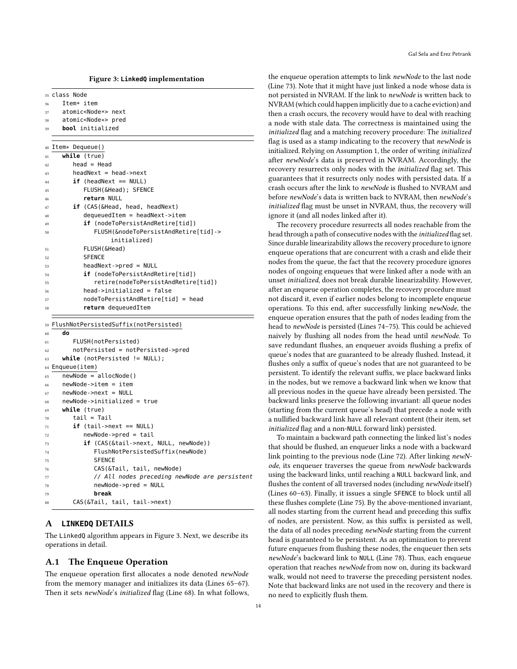<span id="page-13-1"></span>

| 35 Class Node |  |
|---------------|--|
|               |  |

- <sup>36</sup> Item\* item
- <sup>37</sup> atomic<Node\*> next
- <sup>38</sup> atomic<Node\*> pred
- 39 **bool** initialized

<sup>40</sup> Item\* Dequeue()

<span id="page-13-21"></span><span id="page-13-15"></span><span id="page-13-14"></span>

| 41 | while (true)                            |
|----|-----------------------------------------|
| 42 | $head = Head$                           |
| 43 | $headNext = head \rightarrow next$      |
| 44 | $if$ (headNext == NULL)                 |
| 45 | FLUSH (&Head); SFENCE                   |
| 46 | return NULL                             |
| 47 | <b>if</b> (CAS(&Head, head, headNext)   |
| 48 | $dequeuedItem = headNext -$             |
| 49 | <b>if</b> (nodeToPersistAndRetire[tid]) |
| 50 | FLUSH(&nodeToPersistAndRetire[tid]->    |
|    | initialized)                            |
| 51 | FLUSH (&Head)                           |
| 52 | <b>SFENCE</b>                           |
| 53 | $headNext$ ->pred = NULL                |
| 54 | <b>if</b> (nodeToPersistAndRetire[tid]) |
| 55 | retire(nodeToPersistAndRetire[tid])     |
| 56 | head->initialized = false               |
| 57 | $nodeToPersistAndRetire[tid] = head$    |
| 58 | return dequeuedItem                     |
|    |                                         |

<span id="page-13-22"></span><span id="page-13-20"></span><span id="page-13-19"></span><span id="page-13-18"></span><span id="page-13-17"></span><span id="page-13-16"></span>59 FlushNotPersistedSuffix(notPersisted)

```
60 do
61 FLUSH(notPersisted)
62 notPersisted = notPersisted->pred
63 while (notPersisted != NULL);
64 Enqueue(item)
65 newNode = allocNode()
66 newNode->item = item
67 newNode->next = NULL
68 newNode->initialized = true
69 while (true)
70 tail = Tail
71 if (tail->next == NULL)
72 newNode->pred = tail
73 if (CAS(&tail->next, NULL, newNode))
74 FlushNotPersistedSuffix(newNode)
75 SFENCE
76 CAS(&Tail, tail, newNode)
77 // All nodes preceding newNode are persistent
78 newNode->pred = NULL
79 break
80 CAS(&Tail, tail, tail->next)
```
### <span id="page-13-13"></span><span id="page-13-12"></span><span id="page-13-11"></span><span id="page-13-8"></span><span id="page-13-7"></span><span id="page-13-6"></span><span id="page-13-5"></span><span id="page-13-0"></span>A **LINKEDQ** DETAILS

The LinkedQ algorithm appears in Figure [3.](#page-13-1) Next, we describe its operations in detail.

# A.1 The Enqueue Operation

The enqueue operation first allocates a node denoted newNode from the memory manager and initializes its data (Lines [65](#page-13-2)[–67\)](#page-13-3). Then it sets newNode's initialized flag (Line [68\)](#page-13-4). In what follows,

the enqueue operation attempts to link newNode to the last node (Line [73\)](#page-13-5). Note that it might have just linked a node whose data is not persisted in NVRAM. If the link to newNode is written back to NVRAM (which could happen implicitly due to a cache eviction) and then a crash occurs, the recovery would have to deal with reaching a node with stale data. The correctness is maintained using the initialized flag and a matching recovery procedure: The initialized flag is used as a stamp indicating to the recovery that newNode is initialized. Relying on Assumption [1,](#page-2-1) the order of writing initialized after newNode's data is preserved in NVRAM. Accordingly, the recovery resurrects only nodes with the initialized flag set. This guarantees that it resurrects only nodes with persisted data. If a crash occurs after the link to newNode is flushed to NVRAM and before newNode's data is written back to NVRAM, then newNode's initialized flag must be unset in NVRAM, thus, the recovery will ignore it (and all nodes linked after it).

The recovery procedure resurrects all nodes reachable from the head through a path of consecutive nodes with the initialized flag set. Since durable linearizability allows the recovery procedure to ignore enqueue operations that are concurrent with a crash and elide their nodes from the queue, the fact that the recovery procedure ignores nodes of ongoing enqueues that were linked after a node with an unset initialized, does not break durable linearizability. However, after an enqueue operation completes, the recovery procedure must not discard it, even if earlier nodes belong to incomplete enqueue operations. To this end, after successfully linking newNode, the enqueue operation ensures that the path of nodes leading from the head to newNode is persisted (Lines [74–](#page-13-6)[75\)](#page-13-7). This could be achieved naively by flushing all nodes from the head until newNode. To save redundant flushes, an enqueuer avoids flushing a prefix of queue's nodes that are guaranteed to be already flushed. Instead, it flushes only a suffix of queue's nodes that are not guaranteed to be persistent. To identify the relevant suffix, we place backward links in the nodes, but we remove a backward link when we know that all previous nodes in the queue have already been persisted. The backward links preserve the following invariant: all queue nodes (starting from the current queue's head) that precede a node with a nullified backward link have all relevant content (their item, set initialized flag and a non-NULL forward link) persisted.

To maintain a backward path connecting the linked list's nodes that should be flushed, an enqueuer links a node with a backward link pointing to the previous node (Line [72\)](#page-13-8). After linking newNode, its enqueuer traverses the queue from newNode backwards using the backward links, until reaching a NULL backward link, and flushes the content of all traversed nodes (including newNode itself) (Lines [60–](#page-13-9)[63\)](#page-13-10). Finally, it issues a single SFENCE to block until all these flushes complete (Line [75\)](#page-13-7). By the above-mentioned invariant, all nodes starting from the current head and preceding this suffix of nodes, are persistent. Now, as this suffix is persisted as well, the data of all nodes preceding newNode starting from the current head is guaranteed to be persistent. As an optimization to prevent future enqueues from flushing these nodes, the enqueuer then sets newNode's backward link to NULL (Line [78\)](#page-13-11). Thus, each enqueue operation that reaches newNode from now on, during its backward walk, would not need to traverse the preceding persistent nodes. Note that backward links are not used in the recovery and there is no need to explicitly flush them.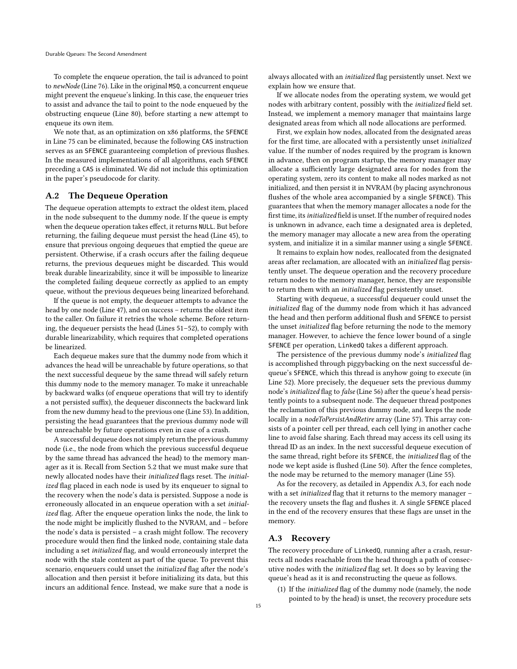To complete the enqueue operation, the tail is advanced to point to newNode (Line [76\)](#page-13-12). Like in the original MSQ, a concurrent enqueue might prevent the enqueue's linking. In this case, the enqueuer tries to assist and advance the tail to point to the node enqueued by the obstructing enqueue (Line [80\)](#page-13-13), before starting a new attempt to enqueue its own item.

We note that, as an optimization on x86 platforms, the SFENCE in Line [75](#page-13-7) can be eliminated, because the following CAS instruction serves as an SFENCE guaranteeing completion of previous flushes. In the measured implementations of all algorithms, each SFENCE preceding a CAS is eliminated. We did not include this optimization in the paper's pseudocode for clarity.

### A.2 The Dequeue Operation

The dequeue operation attempts to extract the oldest item, placed in the node subsequent to the dummy node. If the queue is empty when the dequeue operation takes effect, it returns NULL. But before returning, the failing dequeue must persist the head (Line [45\)](#page-13-14), to ensure that previous ongoing dequeues that emptied the queue are persistent. Otherwise, if a crash occurs after the failing dequeue returns, the previous dequeues might be discarded. This would break durable linearizability, since it will be impossible to linearize the completed failing dequeue correctly as applied to an empty queue, without the previous dequeues being linearized beforehand.

If the queue is not empty, the dequeuer attempts to advance the head by one node (Line [47\)](#page-13-15), and on success – returns the oldest item to the caller. On failure it retries the whole scheme. Before returning, the dequeuer persists the head (Lines [51–](#page-13-16)[52\)](#page-13-17), to comply with durable linearizability, which requires that completed operations be linearized.

Each dequeue makes sure that the dummy node from which it advances the head will be unreachable by future operations, so that the next successful dequeue by the same thread will safely return this dummy node to the memory manager. To make it unreachable by backward walks (of enqueue operations that will try to identify a not persisted suffix), the dequeuer disconnects the backward link from the new dummy head to the previous one (Line [53\)](#page-13-18). In addition, persisting the head guarantees that the previous dummy node will be unreachable by future operations even in case of a crash.

A successful dequeue does not simply return the previous dummy node (i.e., the node from which the previous successful dequeue by the same thread has advanced the head) to the memory manager as it is. Recall from Section [5.2](#page-5-1) that we must make sure that newly allocated nodes have their initialized flags reset. The initialized flag placed in each node is used by its enqueuer to signal to the recovery when the node's data is persisted. Suppose a node is erroneously allocated in an enqueue operation with a set initialized flag. After the enqueue operation links the node, the link to the node might be implicitly flushed to the NVRAM, and – before the node's data is persisted – a crash might follow. The recovery procedure would then find the linked node, containing stale data including a set initialized flag, and would erroneously interpret the node with the stale content as part of the queue. To prevent this scenario, enqueuers could unset the initialized flag after the node's allocation and then persist it before initializing its data, but this incurs an additional fence. Instead, we make sure that a node is

always allocated with an initialized flag persistently unset. Next we explain how we ensure that.

If we allocate nodes from the operating system, we would get nodes with arbitrary content, possibly with the initialized field set. Instead, we implement a memory manager that maintains large designated areas from which all node allocations are performed.

First, we explain how nodes, allocated from the designated areas for the first time, are allocated with a persistently unset initialized value. If the number of nodes required by the program is known in advance, then on program startup, the memory manager may allocate a sufficiently large designated area for nodes from the operating system, zero its content to make all nodes marked as not initialized, and then persist it in NVRAM (by placing asynchronous flushes of the whole area accompanied by a single SFENCE). This guarantees that when the memory manager allocates a node for the first time, its initialized field is unset. If the number of required nodes is unknown in advance, each time a designated area is depleted, the memory manager may allocate a new area from the operating system, and initialize it in a similar manner using a single SFENCE.

It remains to explain how nodes, reallocated from the designated areas after reclamation, are allocated with an initialized flag persistently unset. The dequeue operation and the recovery procedure return nodes to the memory manager, hence, they are responsible to return them with an initialized flag persistently unset.

Starting with dequeue, a successful dequeuer could unset the initialized flag of the dummy node from which it has advanced the head and then perform additional flush and SFENCE to persist the unset initialized flag before returning the node to the memory manager. However, to achieve the fence lower bound of a single SFENCE per operation, LinkedQ takes a different approach.

The persistence of the previous dummy node's *initialized* flag is accomplished through piggybacking on the next successful dequeue's SFENCE, which this thread is anyhow going to execute (in Line [52\)](#page-13-17). More precisely, the dequeuer sets the previous dummy node's initialized flag to false (Line [56\)](#page-13-19) after the queue's head persistently points to a subsequent node. The dequeuer thread postpones the reclamation of this previous dummy node, and keeps the node locally in a nodeToPersistAndRetire array (Line [57\)](#page-13-20). This array consists of a pointer cell per thread, each cell lying in another cache line to avoid false sharing. Each thread may access its cell using its thread ID as an index. In the next successful dequeue execution of the same thread, right before its SFENCE, the initialized flag of the node we kept aside is flushed (Line [50\)](#page-13-21). After the fence completes, the node may be returned to the memory manager (Line [55\)](#page-13-22).

As for the recovery, as detailed in Appendix [A.3,](#page-14-0) for each node with a set *initialized* flag that it returns to the memory manager the recovery unsets the flag and flushes it. A single SFENCE placed in the end of the recovery ensures that these flags are unset in the memory.

#### <span id="page-14-0"></span>A.3 Recovery

The recovery procedure of LinkedQ, running after a crash, resurrects all nodes reachable from the head through a path of consecutive nodes with the initialized flag set. It does so by leaving the queue's head as it is and reconstructing the queue as follows.

(1) If the initialized flag of the dummy node (namely, the node pointed to by the head) is unset, the recovery procedure sets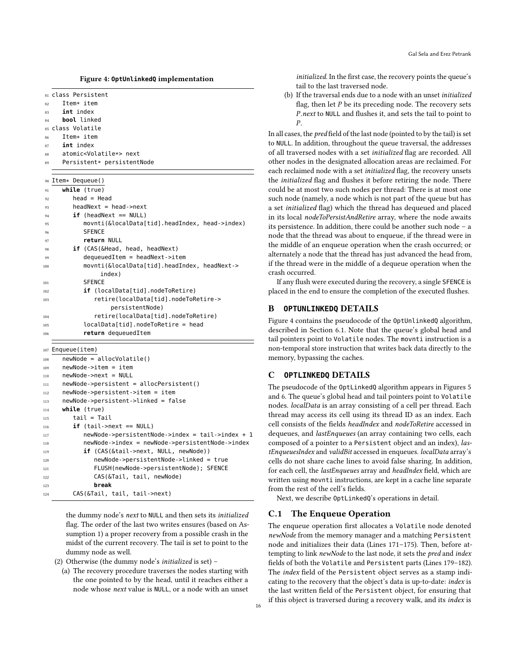Figure 4: **OptUnlinkedQ** implementation

<span id="page-15-2"></span>

| 81  | class Persistent                                                                    |
|-----|-------------------------------------------------------------------------------------|
| 82  | Item* item                                                                          |
| 83  | int index                                                                           |
| 84  | bool linked                                                                         |
| 85  | class Volatile                                                                      |
| 86  | Item* item                                                                          |
| 87  | <b>int</b> index                                                                    |
| 88  | atomic <volatile*> next</volatile*>                                                 |
| 89  | Persistent* persistentNode                                                          |
|     |                                                                                     |
| 90  | Item* Dequeue()                                                                     |
| 91  | while (true)                                                                        |
| 92  | $head = Head$                                                                       |
| 93  | $headNext = head \rightarrow next$                                                  |
| 94  | $if$ (headNext == NULL)                                                             |
| 95  | movnti(&localData[tid].headIndex, head->index)                                      |
| 96  | <b>SFENCE</b>                                                                       |
| 97  | return NULL                                                                         |
| 98  | <b>if</b> (CAS(&Head, head, headNext)                                               |
| 99  | $dequeuedItem = headNext -$                                                         |
| 100 | movnti(&localData[tid].headIndex, headNext->                                        |
|     | index)                                                                              |
| 101 | <b>SFENCE</b>                                                                       |
| 102 | if (localData[tid].nodeToRetire)                                                    |
| 103 | retire(localData[tid].nodeToRetire->                                                |
|     | persistentNode)                                                                     |
| 104 | retire(localData[tid].nodeToRetire)                                                 |
| 105 | localData[tid].nodeToRetire = head                                                  |
| 106 | return dequeuedItem                                                                 |
|     |                                                                                     |
| 107 | Enqueue(item)                                                                       |
| 108 | $newNode = allocVolatile()$                                                         |
| 109 | newNode->item = item                                                                |
| 110 | newNode->next = NULL                                                                |
| 111 | newNode->persistent = allocPersistent()                                             |
| 112 | newNode->persistent->item = item                                                    |
| 113 | newNode->persistent->linked = false                                                 |
| 114 | <b>while</b> (true)                                                                 |
| 115 | tail = Tail                                                                         |
| 116 | $if$ (tail->next == NULL)                                                           |
| 117 | $newNode \rightarrow persistentNode \rightarrow index = tail \rightarrow index + 1$ |
|     | newNode->index = newNode->persistentNode->index                                     |
| 118 | <b>if</b> (CAS(&tail->next, NULL, newNode))                                         |
| 119 | newNode->persistentNode->linked = true                                              |
| 120 | FLUSH(newNode->persistentNode); SFENCE                                              |
| 121 | CAS(&Tail, tail, newNode)                                                           |
| 122 | break                                                                               |
| 123 |                                                                                     |
| 124 | CAS(&Tail, tail, tail->next)                                                        |

the dummy node's next to NULL and then sets its initialized flag. The order of the last two writes ensures (based on Assumption [1\)](#page-2-1) a proper recovery from a possible crash in the midst of the current recovery. The tail is set to point to the dummy node as well.

(2) Otherwise (the dummy node's initialized is set) –

(a) The recovery procedure traverses the nodes starting with the one pointed to by the head, until it reaches either a node whose next value is NULL, or a node with an unset

(b) If the traversal ends due to a node with an unset initialized flag, then let  $P$  be its preceding node. The recovery sets P.next to NULL and flushes it, and sets the tail to point to P.

In all cases, the pred field of the last node (pointed to by the tail) is set to NULL. In addition, throughout the queue traversal, the addresses of all traversed nodes with a set initialized flag are recorded. All other nodes in the designated allocation areas are reclaimed. For each reclaimed node with a set initialized flag, the recovery unsets the initialized flag and flushes it before retiring the node. There could be at most two such nodes per thread: There is at most one such node (namely, a node which is not part of the queue but has a set initialized flag) which the thread has dequeued and placed in its local nodeToPersistAndRetire array, where the node awaits its persistence. In addition, there could be another such node – a node that the thread was about to enqueue, if the thread were in the middle of an enqueue operation when the crash occurred; or alternately a node that the thread has just advanced the head from, if the thread were in the middle of a dequeue operation when the crash occurred.

If any flush were executed during the recovery, a single SFENCE is placed in the end to ensure the completion of the executed flushes.

# <span id="page-15-1"></span>B **OPTUNLINKEDQ** DETAILS

Figure [4](#page-15-2) contains the pseudocode of the OptUnlinkedQ algorithm, described in Section [6.1.](#page-6-2) Note that the queue's global head and tail pointers point to Volatile nodes. The movnti instruction is a non-temporal store instruction that writes back data directly to the memory, bypassing the caches.

# <span id="page-15-0"></span>C **OPTLINKEDQ** DETAILS

The pseudocode of the OptLinkedQ algorithm appears in Figures [5](#page-16-0) and [6.](#page-16-1) The queue's global head and tail pointers point to Volatile nodes. localData is an array consisting of a cell per thread. Each thread may access its cell using its thread ID as an index. Each cell consists of the fields headIndex and nodeToRetire accessed in dequeues, and lastEnqueues (an array containing two cells, each composed of a pointer to a Persistent object and an index), lastEnqueuesIndex and validBit accessed in enqueues. localData array's cells do not share cache lines to avoid false sharing. In addition, for each cell, the lastEnqueues array and headIndex field, which are written using movnti instructions, are kept in a cache line separate from the rest of the cell's fields.

Next, we describe OptLinkedQ's operations in detail.

# C.1 The Enqueue Operation

The enqueue operation first allocates a Volatile node denoted newNode from the memory manager and a matching Persistent node and initializes their data (Lines [171](#page-16-2)[–175\)](#page-16-3). Then, before attempting to link newNode to the last node, it sets the pred and index fields of both the Volatile and Persistent parts (Lines [179–](#page-16-4)[182\)](#page-16-5). The *index* field of the Persistent object serves as a stamp indicating to the recovery that the object's data is up-to-date: index is the last written field of the Persistent object, for ensuring that if this object is traversed during a recovery walk, and its index is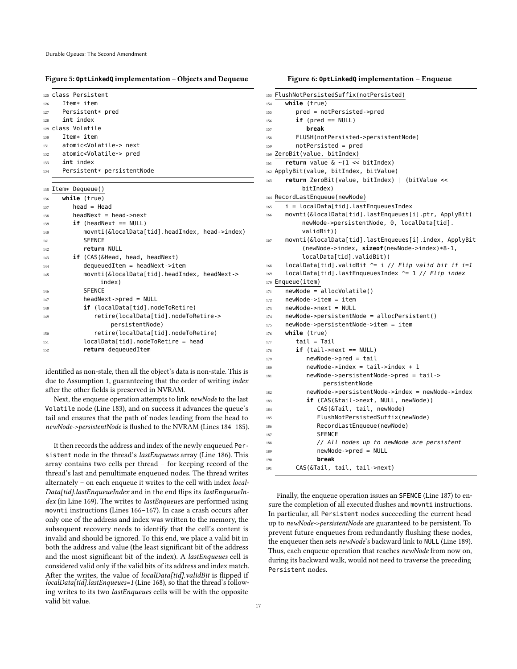#### <span id="page-16-0"></span>Figure 5: **OptLinkedQ** implementation – Objects and Dequeue

<span id="page-16-17"></span>

|                        | 125 Class Persistent                           |
|------------------------|------------------------------------------------|
|                        | Item* item                                     |
|                        | Persistent* pred                               |
|                        | int index                                      |
| 129 Class Volatile     |                                                |
|                        | Item* item                                     |
|                        | atomic <volatile*> next</volatile*>            |
|                        | atomic <volatile*> pred</volatile*>            |
|                        | int index                                      |
|                        | Persistent* persistentNode                     |
|                        |                                                |
| Item* Dequeue()<br>135 |                                                |
|                        | while (true)                                   |
|                        | $head = Head$                                  |
|                        | $headNext = head - \neg next$                  |
|                        | $if$ (headNext == NULL)                        |
|                        | movnti(&localData[tid].headIndex, head->index) |
|                        | <b>SFENCE</b>                                  |
|                        | return NULL                                    |
|                        | <b>if</b> (CAS(&Head, head, headNext)          |
|                        | $dequeuedItem = headNext -$                    |
|                        | movnti(&localData[tid].headIndex, headNext->   |
|                        | index)                                         |
|                        | <b>SFENCE</b>                                  |
|                        | $headNext$ ->pred = $NULL$                     |
|                        | <b>if</b> (localData[tid].nodeToRetire)        |
|                        | retire(localData[tid].nodeToRetire->           |
|                        | persistentNode)                                |
|                        | retire(localData[tid].nodeToRetire)            |
|                        | $localData[tid].nodeToRetire = head$           |
|                        | return dequeuedItem                            |
|                        |                                                |

<span id="page-16-25"></span><span id="page-16-24"></span><span id="page-16-23"></span><span id="page-16-22"></span><span id="page-16-21"></span><span id="page-16-20"></span><span id="page-16-19"></span><span id="page-16-18"></span>identified as non-stale, then all the object's data is non-stale. This is due to Assumption [1,](#page-2-1) guaranteeing that the order of writing index after the other fields is preserved in NVRAM.

Next, the enqueue operation attempts to link newNode to the last Volatile node (Line [183\)](#page-16-6), and on success it advances the queue's tail and ensures that the path of nodes leading from the head to newNode->persistentNode is flushed to the NVRAM (Lines [184–](#page-16-7)[185\)](#page-16-8).

It then records the address and index of the newly enqueued Persistent node in the thread's lastEnqueues array (Line [186\)](#page-16-9). This array contains two cells per thread – for keeping record of the thread's last and penultimate enqueued nodes. The thread writes alternately – on each enqueue it writes to the cell with index local-Data[tid].lastEnqueueIndex and in the end flips its lastEnqueueIn-dex (in Line [169\)](#page-16-10). The writes to lastEnqueues are performed using movnti instructions (Lines [166–](#page-16-11)[167\)](#page-16-12). In case a crash occurs after only one of the address and index was written to the memory, the subsequent recovery needs to identify that the cell's content is invalid and should be ignored. To this end, we place a valid bit in both the address and value (the least significant bit of the address and the most significant bit of the index). A lastEnqueues cell is considered valid only if the valid bits of its address and index match. After the writes, the value of *localData[tid].validBit* is flipped if localData[tid].lastEnqueues=1 (Line [168\)](#page-16-13), so that the thread's following writes to its two lastEnqueues cells will be with the opposite valid bit value.

#### <span id="page-16-1"></span>Figure 6: **OptLinkedQ** implementation – Enqueue

<span id="page-16-13"></span><span id="page-16-12"></span><span id="page-16-11"></span><span id="page-16-10"></span><span id="page-16-2"></span>

| 153        | FlushNotPersistedSuffix(notPersisted)                                    |
|------------|--------------------------------------------------------------------------|
| 154        | while (true)                                                             |
| 155        | pred = notPersisted->pred                                                |
| 156        | $if$ (pred == NULL)                                                      |
| 157        | break                                                                    |
| 158        | FLUSH(notPersisted->persistentNode)                                      |
| 159        | notPersisted = pred                                                      |
| 160        | ZeroBit(value, bitIndex)                                                 |
| 161        | <b>return</b> value $\< (1 \lt\lt$ bitIndex)                             |
| 162        | ApplyBit(value, bitIndex, bitValue)                                      |
| 163        | return ZeroBit(value, bitIndex)   (bitValue <<                           |
|            | bitIndex)                                                                |
| 164        | RecordLastEnqueue(newNode)                                               |
| 165        | i = localData[tid].lastEnqueuesIndex                                     |
| 166        | movnti(&localData[tid].lastEnqueues[i].ptr, ApplyBit(                    |
|            | newNode->persistentNode, 0, localData[tid].                              |
|            | validBit))                                                               |
| 167        | movnti(&localData[tid].lastEnqueues[i].index, ApplyBit                   |
|            | $(newNode \rightarrow index, sizeof(newNode \rightarrow index) *8 - 1,$  |
|            | localData[tid].validBit))                                                |
| 168        | localData[tid].validBit ^= i // Flip valid bit if i=1                    |
| 169        | localData[tid].lastEnqueuesIndex ^= 1 // Flip index                      |
| 170        | Enqueue(item)                                                            |
| 171        | $newNode = allocVolatile()$                                              |
| 172        | $newNode  item = item$                                                   |
| 173        | newNode->next = NULL                                                     |
| 174        | newNode->persistentNode = allocPersistent()                              |
| 175        | newNode->persistentNode->item = item                                     |
| 176        | while (true)                                                             |
| 177        | tail = Tail                                                              |
| 178        | <b>if</b> (tail->next == NULL)                                           |
| 179        | newNode->pred = tail                                                     |
| 180        | $newNode->index = tail->index + 1$                                       |
| 181        | newNode->persistentNode->pred = tail->                                   |
|            | persistentNode                                                           |
| 182        | newNode->persistentNode->index = newNode->index                          |
| 183        | <b>if</b> (CAS(&tail->next, NULL, newNode))<br>CAS(&Tail, tail, newNode) |
| 184        | FlushNotPersistedSuffix(newNode)                                         |
| 185        | RecordLastEnqueue(newNode)                                               |
| 186        | <b>SFENCE</b>                                                            |
| 187        | // All nodes up to newNode are persistent                                |
| 188<br>189 | $newNode->pred = NULL$                                                   |
| 190        | break                                                                    |
| 191        | CAS(&Tail, tail, tail->next)                                             |
|            |                                                                          |

<span id="page-16-16"></span><span id="page-16-15"></span><span id="page-16-14"></span><span id="page-16-9"></span><span id="page-16-8"></span><span id="page-16-7"></span><span id="page-16-6"></span><span id="page-16-5"></span><span id="page-16-4"></span><span id="page-16-3"></span>Finally, the enqueue operation issues an SFENCE (Line [187\)](#page-16-14) to ensure the completion of all executed flushes and movnti instructions. In particular, all Persistent nodes succeeding the current head up to newNode->persistentNode are guaranteed to be persistent. To prevent future enqueues from redundantly flushing these nodes, the enqueuer then sets newNode's backward link to NULL (Line [189\)](#page-16-15). Thus, each enqueue operation that reaches newNode from now on, during its backward walk, would not need to traverse the preceding Persistent nodes.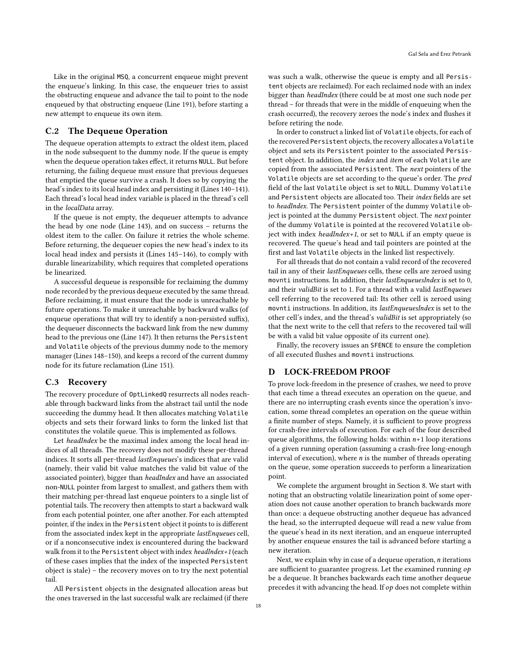Like in the original MSQ, a concurrent enqueue might prevent the enqueue's linking. In this case, the enqueuer tries to assist the obstructing enqueue and advance the tail to point to the node enqueued by that obstructing enqueue (Line [191\)](#page-16-16), before starting a new attempt to enqueue its own item.

# C.2 The Dequeue Operation

The dequeue operation attempts to extract the oldest item, placed in the node subsequent to the dummy node. If the queue is empty when the dequeue operation takes effect, it returns NULL. But before returning, the failing dequeue must ensure that previous dequeues that emptied the queue survive a crash. It does so by copying the head's index to its local head index and persisting it (Lines [140–](#page-16-17)[141\)](#page-16-18). Each thread's local head index variable is placed in the thread's cell in the localData array.

If the queue is not empty, the dequeuer attempts to advance the head by one node (Line [143\)](#page-16-19), and on success – returns the oldest item to the caller. On failure it retries the whole scheme. Before returning, the dequeuer copies the new head's index to its local head index and persists it (Lines [145](#page-16-20)[–146\)](#page-16-21), to comply with durable linearizability, which requires that completed operations be linearized.

A successful dequeue is responsible for reclaiming the dummy node recorded by the previous dequeue executed by the same thread. Before reclaiming, it must ensure that the node is unreachable by future operations. To make it unreachable by backward walks (of enqueue operations that will try to identify a non-persisted suffix), the dequeuer disconnects the backward link from the new dummy head to the previous one (Line [147\)](#page-16-22). It then returns the Persistent and Volatile objects of the previous dummy node to the memory manager (Lines [148](#page-16-23)[–150\)](#page-16-24), and keeps a record of the current dummy node for its future reclamation (Line [151\)](#page-16-25).

#### C.3 Recovery

The recovery procedure of OptLinkedQ resurrects all nodes reachable through backward links from the abstract tail until the node succeeding the dummy head. It then allocates matching Volatile objects and sets their forward links to form the linked list that constitutes the volatile queue. This is implemented as follows.

Let headIndex be the maximal index among the local head indices of all threads. The recovery does not modify these per-thread indices. It sorts all per-thread lastEnqueues's indices that are valid (namely, their valid bit value matches the valid bit value of the associated pointer), bigger than headIndex and have an associated non-NULL pointer from largest to smallest, and gathers them with their matching per-thread last enqueue pointers to a single list of potential tails. The recovery then attempts to start a backward walk from each potential pointer, one after another. For each attempted pointer, if the index in the Persistent object it points to is different from the associated index kept in the appropriate lastEnqueues cell, or if a nonconsecutive index is encountered during the backward walk from it to the Persistent object with index headIndex+1 (each of these cases implies that the index of the inspected Persistent object is stale) – the recovery moves on to try the next potential tail.

All Persistent objects in the designated allocation areas but the ones traversed in the last successful walk are reclaimed (if there was such a walk, otherwise the queue is empty and all Persistent objects are reclaimed). For each reclaimed node with an index bigger than headIndex (there could be at most one such node per thread – for threads that were in the middle of enqueuing when the crash occurred), the recovery zeroes the node's index and flushes it before retiring the node.

In order to construct a linked list of Volatile objects, for each of the recovered Persistent objects, the recovery allocates a Volatile object and sets its Persistent pointer to the associated Persistent object. In addition, the index and item of each Volatile are copied from the associated Persistent. The next pointers of the Volatile objects are set according to the queue's order. The pred field of the last Volatile object is set to NULL. Dummy Volatile and Persistent objects are allocated too. Their index fields are set to headIndex. The Persistent pointer of the dummy Volatile object is pointed at the dummy Persistent object. The next pointer of the dummy Volatile is pointed at the recovered Volatile object with index headIndex+1, or set to NULL if an empty queue is recovered. The queue's head and tail pointers are pointed at the first and last Volatile objects in the linked list respectively.

For all threads that do not contain a valid record of the recovered tail in any of their lastEnqueues cells, these cells are zeroed using movnti instructions. In addition, their *lastEnqueuesIndex* is set to 0, and their validBit is set to 1. For a thread with a valid lastEnqueues cell referring to the recovered tail: Its other cell is zeroed using movnti instructions. In addition, its lastEnqueuesIndex is set to the other cell's index, and the thread's validBit is set appropriately (so that the next write to the cell that refers to the recovered tail will be with a valid bit value opposite of its current one).

Finally, the recovery issues an SFENCE to ensure the completion of all executed flushes and movnti instructions.

# <span id="page-17-0"></span>D LOCK-FREEDOM PROOF

To prove lock-freedom in the presence of crashes, we need to prove that each time a thread executes an operation on the queue, and there are no interrupting crash events since the operation's invocation, some thread completes an operation on the queue within a finite number of steps. Namely, it is sufficient to prove progress for crash-free intervals of execution. For each of the four described queue algorithms, the following holds: within  $n+1$  loop iterations of a given running operation (assuming a crash-free long-enough interval of execution), where  $n$  is the number of threads operating on the queue, some operation succeeds to perform a linearization point.

We complete the argument brought in Section [8.](#page-10-0) We start with noting that an obstructing volatile linearization point of some operation does not cause another operation to branch backwards more than once: a dequeue obstructing another dequeue has advanced the head, so the interrupted dequeue will read a new value from the queue's head in its next iteration, and an enqueue interrupted by another enqueue ensures the tail is advanced before starting a new iteration.

Next, we explain why in case of a dequeue operation,  $n$  iterations are sufficient to guarantee progress. Let the examined running  $op$ be a dequeue. It branches backwards each time another dequeue precedes it with advancing the head. If  $op$  does not complete within